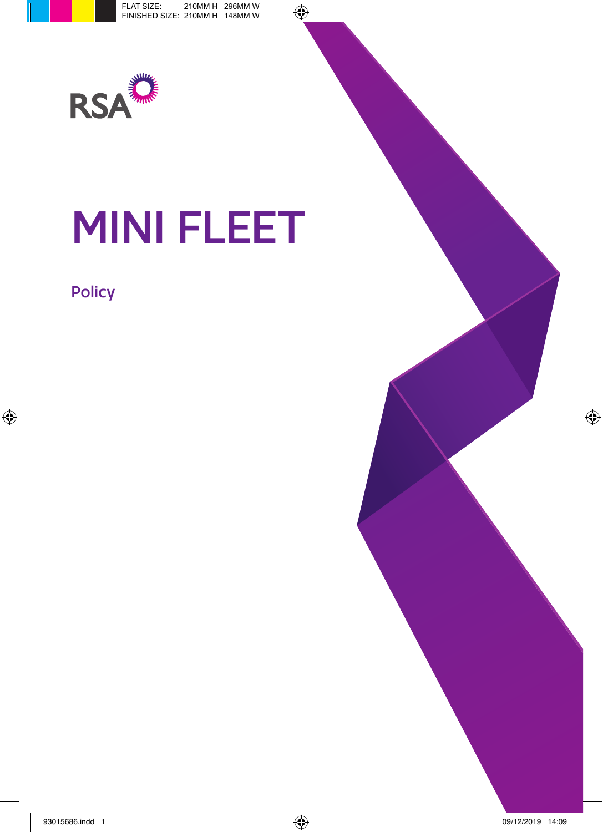

# MINI FLEET

## Policy

- -
- - -
-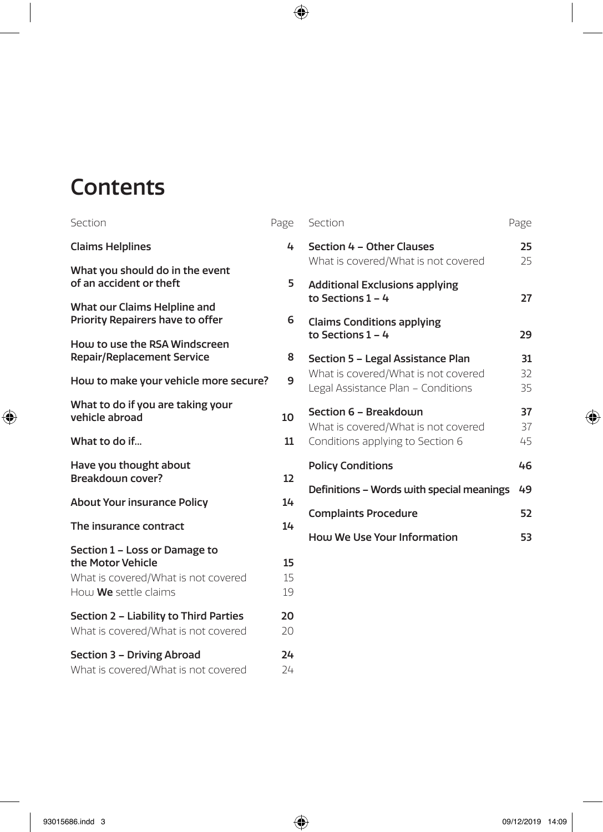# **Contents**

| Section                                                                                                           | Page           |
|-------------------------------------------------------------------------------------------------------------------|----------------|
| <b>Claims Helplines</b>                                                                                           | 4              |
| What you should do in the event<br>of an accident or theft                                                        | 5              |
| What our Claims Helpline and<br>Priority Repairers have to offer                                                  | 6              |
| How to use the RSA Windscreen<br><b>Repair/Replacement Service</b>                                                | 8              |
| How to make your vehicle more secure?                                                                             | 9              |
| What to do if you are taking your<br>vehicle abroad                                                               | 10             |
| What to do if                                                                                                     | 11             |
| Have you thought about<br>Breakdown cover?                                                                        | 12             |
| <b>About Your insurance Policy</b>                                                                                | 14             |
| The insurance contract                                                                                            | 14             |
| Section 1 - Loss or Damage to<br>the Motor Vehicle<br>What is covered/What is not covered<br>How We settle claims | 15<br>15<br>19 |
| Section 2 - Liability to Third Parties<br>What is covered/What is not covered                                     | 20<br>20       |
| Section 3 - Driving Abroad<br>What is covered/What is not covered                                                 | 24<br>24       |

| Section                                                                                                        | Page           |
|----------------------------------------------------------------------------------------------------------------|----------------|
| Section 4 - Other Clauses<br>What is covered/What is not covered                                               | 25<br>25       |
| <b>Additional Exclusions applying</b><br>to Sections 1 – 4                                                     | 27             |
| <b>Claims Conditions applying</b><br>to Sections $1 - 4$                                                       | 29             |
| Section 5 - Legal Assistance Plan<br>What is covered/What is not covered<br>Legal Assistance Plan - Conditions | 31<br>32<br>35 |
| Section 6 - Breakdouin<br>What is covered/What is not covered<br>Conditions applying to Section 6              | 37<br>37<br>45 |
| <b>Policy Conditions</b>                                                                                       | 46             |
| Definitions - Words with special meanings                                                                      | 49             |
| <b>Complaints Procedure</b>                                                                                    | 52             |
| How We Use Your Information                                                                                    | 53             |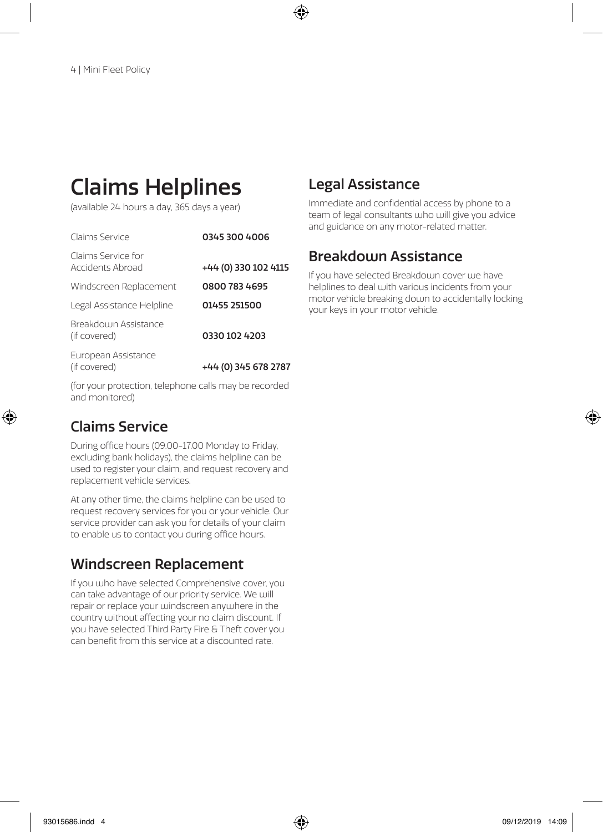# Claims Helplines

(available 24 hours a day, 365 days a year)

| Claims Service                         | 0345 300 4006                                                   |  |
|----------------------------------------|-----------------------------------------------------------------|--|
| Claims Service for<br>Accidents Abroad | +44 (0) 330 102 4115                                            |  |
| Windscreen Replacement                 | 0800 783 4695                                                   |  |
| Legal Assistance Helpline              | 01455 251500                                                    |  |
| Breakdoum Assistance<br>(if covered)   | 0330 102 4203                                                   |  |
| European Assistance<br>(if covered)    | +44 (0) 345 678 2787                                            |  |
| $\overline{\phantom{a}}$               | $\mathbf{r}$ and $\mathbf{r}$ and $\mathbf{r}$ and $\mathbf{r}$ |  |

(for your protection, telephone calls may be recorded and monitored)

## Claims Service

During office hours (09.00-17.00 Monday to Friday, excluding bank holidays), the claims helpline can be used to register your claim, and request recovery and replacement vehicle services.

At any other time, the claims helpline can be used to request recovery services for you or your vehicle. Our service provider can ask you for details of your claim to enable us to contact you during office hours.

## Windscreen Replacement

If you who have selected Comprehensive cover, you can take advantage of our priority service. We will repair or replace your windscreen anywhere in the country without affecting your no claim discount. If you have selected Third Party Fire & Theft cover you can benefit from this service at a discounted rate.

## Legal Assistance

Immediate and confidential access by phone to a team of legal consultants who will give you advice and guidance on any motor-related matter.

## **Breakdoun Assistance**

If you have selected Breakdoum cover uje have helplines to deal with various incidents from your motor vehicle breaking down to accidentally locking your keys in your motor vehicle.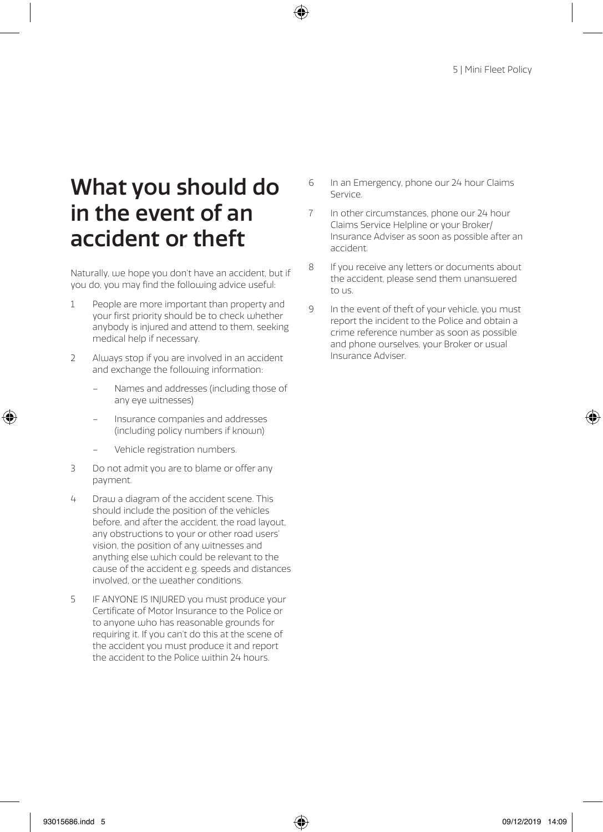# What you should do in the event of an accident or theft

Naturally, use hope you don't have an accident, but if you do, you may find the following advice useful:

- 1 People are more important than property and your first priority should be to check whether anybody is injured and attend to them, seeking medical help if necessary.
- 2 Always stop if you are involved in an accident and exchange the following information:
	- Names and addresses (including those of any eye witnesses)
	- Insurance companies and addresses (including policy numbers if known)
	- Vehicle registration numbers.
- 3 Do not admit you are to blame or offer any payment.
- 4 Draw a diagram of the accident scene. This should include the position of the vehicles before, and after the accident, the road layout, any obstructions to your or other road users' vision, the position of any witnesses and anything else which could be relevant to the cause of the accident e.g. speeds and distances involved, or the weather conditions.
- 5 IF ANYONE IS INJURED you must produce your Certificate of Motor Insurance to the Police or to anyone who has reasonable grounds for requiring it. If you can't do this at the scene of the accident you must produce it and report the accident to the Police within 24 hours.
- 6 In an Emergency, phone our 24 hour Claims Service.
- 7 In other circumstances, phone our 24 hour Claims Service Helpline or your Broker/ Insurance Adviser as soon as possible after an accident.
- 8 If you receive any letters or documents about the accident, please send them unanswered to us.
- 9 In the event of theft of your vehicle, you must report the incident to the Police and obtain a crime reference number as soon as possible and phone ourselves, your Broker or usual Insurance Adviser.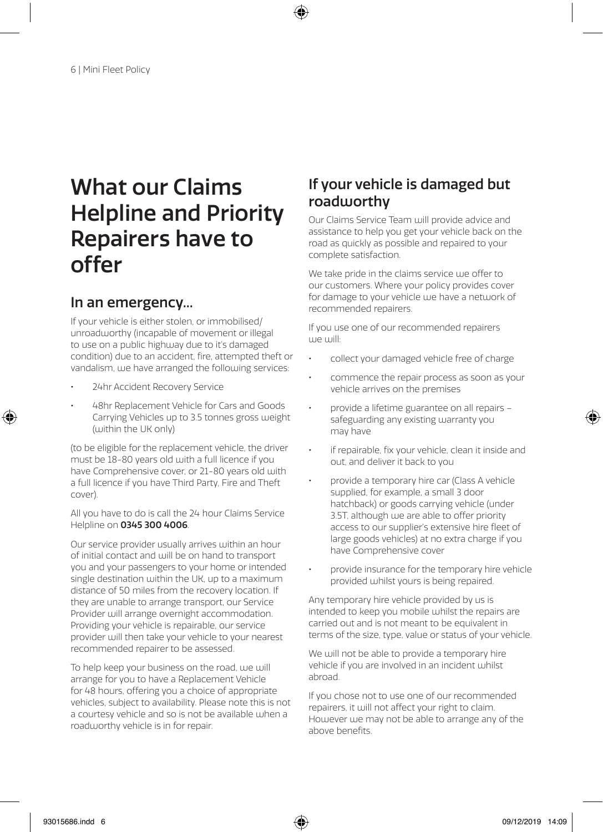# What our Claims Helpline and Priority Repairers have to offer

## In an emergency...

If your vehicle is either stolen, or immobilised/ unroadworthy (incapable of movement or illegal to use on a public highway due to it's damaged condition) due to an accident, fire, attempted theft or vandalism, we have arranged the following services:

- 24hr Accident Recovery Service
- 48hr Replacement Vehicle for Cars and Goods Carrying Vehicles up to 3.5 tonnes gross weight (within the UK only)

(to be eligible for the replacement vehicle, the driver must be 18-80 years old with a full licence if you have Comprehensive cover, or 21-80 years old with a full licence if you have Third Party, Fire and Theft cover).

All you have to do is call the 24 hour Claims Service Helpline on 0345 300 4006.

Our service provider usually arrives within an hour of initial contact and will be on hand to transport you and your passengers to your home or intended single destination within the UK, up to a maximum distance of 50 miles from the recovery location. If they are unable to arrange transport, our Service Provider will arrange overnight accommodation. Providing your vehicle is repairable, our service provider will then take your vehicle to your nearest recommended repairer to be assessed.

To help keep your business on the road, we will arrange for you to have a Replacement Vehicle for 48 hours, offering you a choice of appropriate vehicles, subject to availability. Please note this is not a courtesy vehicle and so is not be available when a roadworthy vehicle is in for repair.

## If your vehicle is damaged but roadworthy

Our Claims Service Team will provide advice and assistance to help you get your vehicle back on the road as quickly as possible and repaired to your complete satisfaction.

We take pride in the claims service we offer to our customers. Where your policy provides cover for damage to your vehicle we have a network of recommended repairers.

If you use one of our recommended repairers we will:

- collect your damaged vehicle free of charge
- commence the repair process as soon as your vehicle arrives on the premises
- provide a lifetime guarantee on all repairs safeguarding any existing warranty you may have
- if repairable, fix your vehicle, clean it inside and out, and deliver it back to you
- provide a temporary hire car (Class A vehicle supplied, for example, a small 3 door hatchback) or goods carrying vehicle (under 3.5T, although we are able to offer priority access to our supplier's extensive hire fleet of large goods vehicles) at no extra charge if you have Comprehensive cover
- provide insurance for the temporary hire vehicle provided whilst yours is being repaired.

Any temporary hire vehicle provided by us is intended to keep you mobile whilst the repairs are carried out and is not meant to be equivalent in terms of the size, type, value or status of your vehicle.

We will not be able to provide a temporary hire vehicle if you are involved in an incident whilst abroad.

If you chose not to use one of our recommended repairers, it will not affect your right to claim. However we may not be able to arrange any of the above benefits.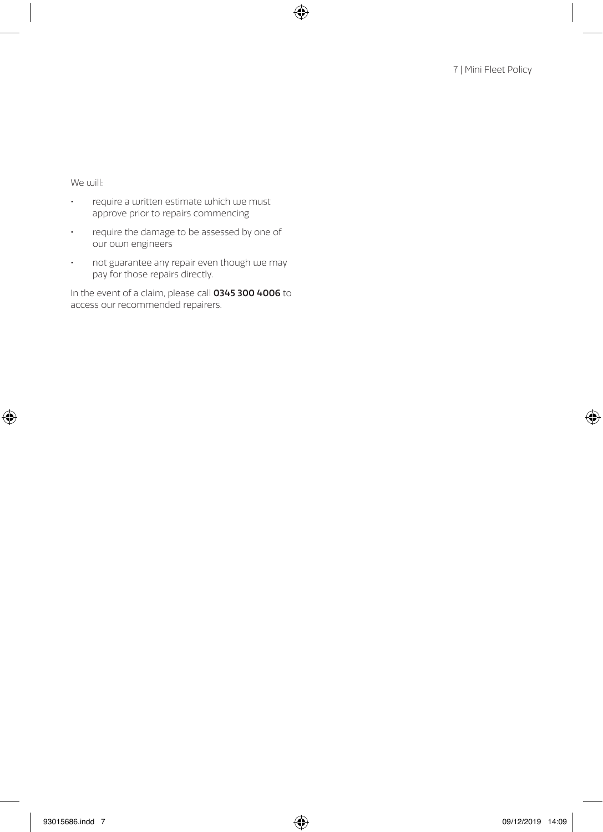We will:

- require a written estimate which we must approve prior to repairs commencing
- require the damage to be assessed by one of our own engineers
- not guarantee any repair even though we may pay for those repairs directly.

In the event of a claim, please call 0345 300 4006 to access our recommended repairers.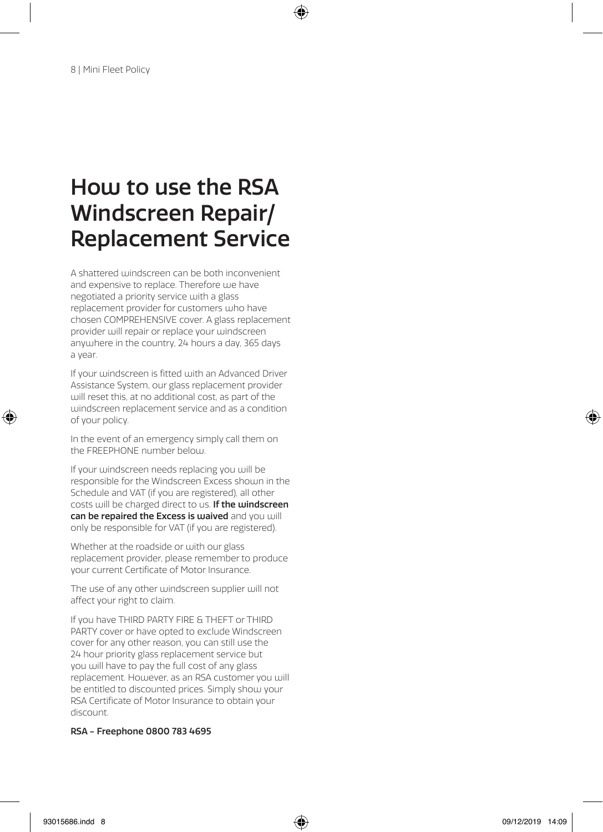# How to use the RSA Windscreen Repair/ Replacement Service

A shattered windscreen can be both inconvenient and expensive to replace. Therefore we have negotiated a priority service with a glass replacement provider for customers who have chosen COMPREHENSIVE cover. A glass replacement provider will repair or replace your windscreen anywhere in the country, 24 hours a day, 365 days a year.

If your windscreen is fitted with an Advanced Driver Assistance System, our glass replacement provider will reset this, at no additional cost, as part of the windscreen replacement service and as a condition of your policy.

In the event of an emergency simply call them on the FREEPHONE number below.

If your windscreen needs replacing you will be responsible for the Windscreen Excess shown in the Schedule and VAT (if you are registered), all other costs will be charged direct to us. If the windscreen can be repaired the Excess is waived and you will only be responsible for VAT (if you are registered).

Whether at the roadside or with our glass replacement provider, please remember to produce your current Certificate of Motor Insurance.

The use of any other windscreen supplier will not affect your right to claim.

If you have THIRD PARTY FIRE & THEFT or THIRD PARTY cover or have opted to exclude Windscreen cover for any other reason, you can still use the 24 hour priority glass replacement service but you will have to pay the full cost of any glass replacement. However, as an RSA customer you will be entitled to discounted prices. Simply show your RSA Certificate of Motor Insurance to obtain your discount.

### RSA - Freephone 0800 783 4695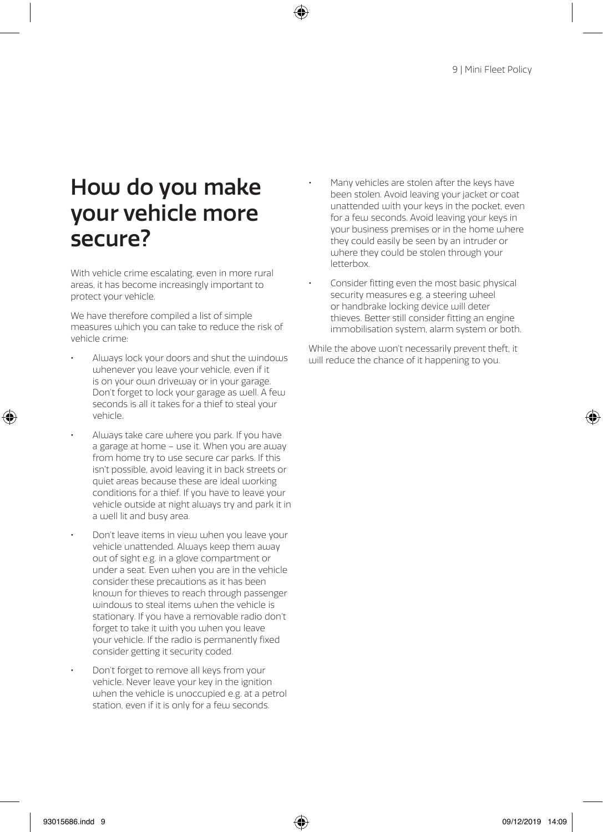# How do you make your vehicle more secure?

With vehicle crime escalating, even in more rural areas, it has become increasingly important to protect your vehicle.

We have therefore compiled a list of simple measures which you can take to reduce the risk of vehicle crime:

- Always lock your doors and shut the windows whenever you leave your vehicle, even if it is on your own driveway or in your garage. Don't forget to lock your garage as well. A few seconds is all it takes for a thief to steal your vehicle.
- Always take care where you park. If you have a garage at home – use it. When you are away from home try to use secure car parks. If this isn't possible, avoid leaving it in back streets or quiet areas because these are ideal working conditions for a thief. If you have to leave your vehicle outside at night always try and park it in a well lit and busy area.
- Don't leave items in view when you leave your vehicle unattended. Always keep them away out of sight e.g. in a glove compartment or under a seat. Even when you are in the vehicle consider these precautions as it has been known for thieves to reach through passenger windows to steal items when the vehicle is stationary. If you have a removable radio don't forget to take it with you when you leave your vehicle. If the radio is permanently fixed consider getting it security coded.
- Don't forget to remove all keys from your vehicle. Never leave your key in the ignition  $u$  uhen the vehicle is unoccupied e.g. at a petrol. station, even if it is only for a few seconds.
- Many vehicles are stolen after the keys have been stolen. Avoid leaving your jacket or coat unattended with your keys in the pocket, even for a few seconds. Avoid leaving your keys in your business premises or in the home where they could easily be seen by an intruder or where they could be stolen through your letterbox.
- Consider fitting even the most basic physical security measures e.g. a steering wheel or handbrake locking device will deter thieves. Better still consider fitting an engine immobilisation system, alarm system or both.

While the above won't necessarily prevent theft, it will reduce the chance of it happening to you.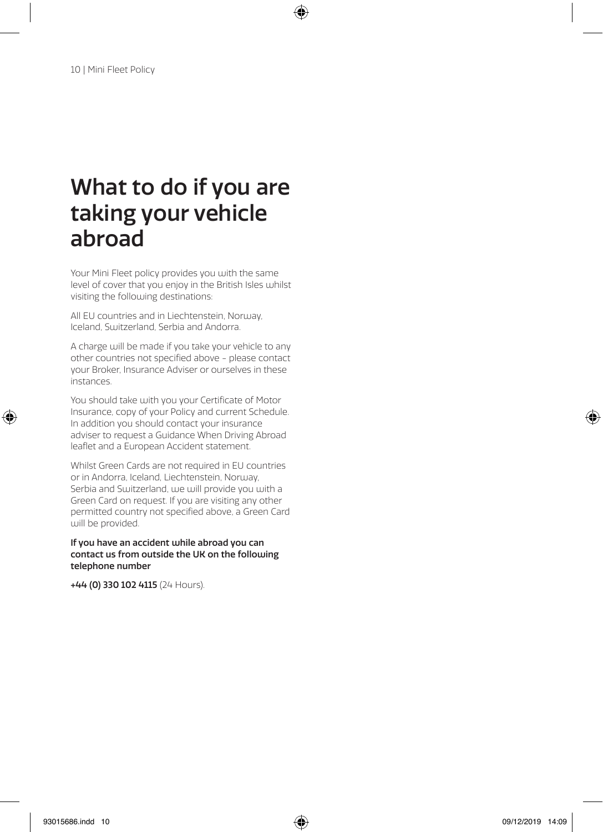# What to do if you are taking your vehicle abroad

Your Mini Fleet policy provides you with the same level of cover that you enjoy in the British Isles whilst visiting the following destinations:

All EU countries and in Liechtenstein, Norway, Iceland, Switzerland, Serbia and Andorra.

A charge will be made if you take your vehicle to any other countries not specified above - please contact your Broker, Insurance Adviser or ourselves in these instances.

You should take with you your Certificate of Motor Insurance, copy of your Policy and current Schedule. In addition you should contact your insurance adviser to request a Guidance When Driving Abroad leaflet and a European Accident statement.

Whilst Green Cards are not required in EU countries or in Andorra, Iceland, Liechtenstein, Norway, Serbia and Switzerland, we will provide you with a Green Card on request. If you are visiting any other permitted country not specified above, a Green Card will be provided.

### If you have an accident while abroad you can contact us from outside the UK on the following telephone number

+44 (0) 330 102 4115 (24 Hours).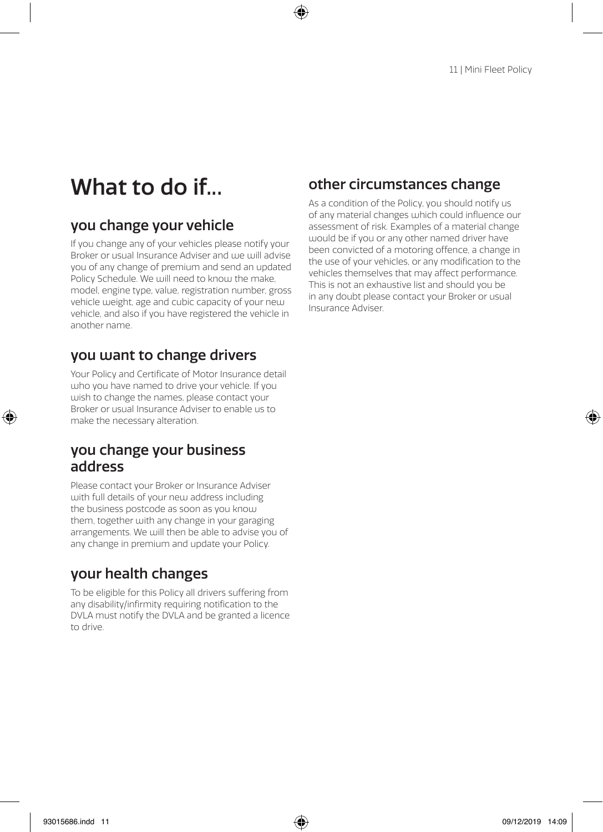# What to do if...

## you change your vehicle

If you change any of your vehicles please notify your Broker or usual Insurance Adviser and uje will advise you of any change of premium and send an updated Policy Schedule. We will need to know the make. model, engine type, value, registration number, gross vehicle weight, age and cubic capacity of your new vehicle, and also if you have registered the vehicle in another name.

## you want to change drivers

Your Policy and Certificate of Motor Insurance detail who you have named to drive your vehicle. If you wish to change the names, please contact your Broker or usual Insurance Adviser to enable us to make the necessary alteration.

## you change your business address

Please contact your Broker or Insurance Adviser with full details of your new address including the business postcode as soon as you know them, together with any change in your garaging arrangements. We will then be able to advise you of any change in premium and update your Policy.

## your health changes

To be eligible for this Policy all drivers suffering from any disability/infirmity requiring notification to the DVLA must notify the DVLA and be granted a licence to drive.

## other circumstances change

As a condition of the Policy, you should notify us of any material changes which could influence our assessment of risk. Examples of a material change would be if you or any other named driver have been convicted of a motoring offence, a change in the use of your vehicles, or any modification to the vehicles themselves that may affect performance. This is not an exhaustive list and should you be in any doubt please contact your Broker or usual Insurance Adviser.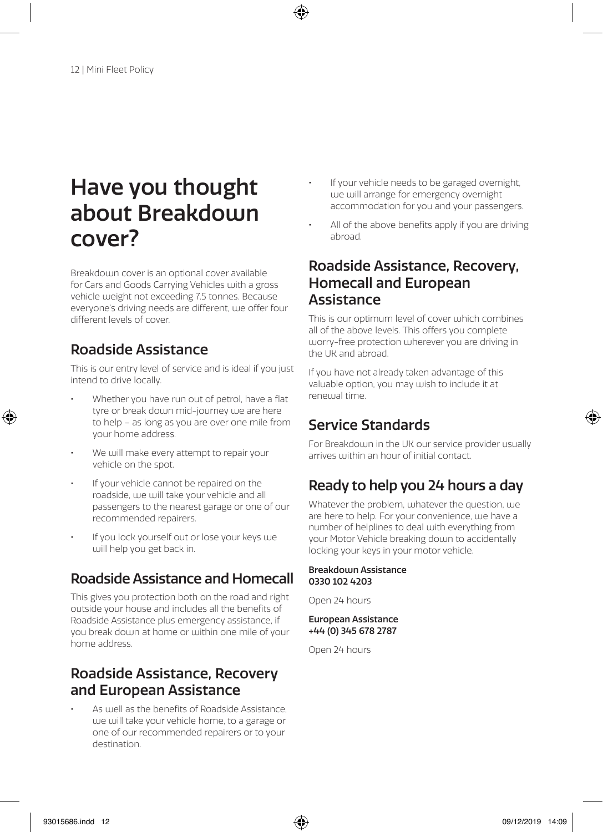# Have you thought about Breakdown cover?

Breakdoum cover is an optional cover available for Cars and Goods Carrying Vehicles with a gross vehicle weight not exceeding 7.5 tonnes. Because everyone's driving needs are different, we offer four different levels of cover.

## Roadside Assistance

This is our entry level of service and is ideal if you just intend to drive locally.

- Whether you have run out of petrol, have a flat tyre or break down mid-journey we are here to help – as long as you are over one mile from your home address.
- We will make every attempt to repair your vehicle on the spot.
- If your vehicle cannot be repaired on the roadside, we will take your vehicle and all passengers to the nearest garage or one of our recommended repairers.
- If you lock yourself out or lose your keys we will help you get back in.

## Roadside Assistance and Homecall

This gives you protection both on the road and right outside your house and includes all the benefits of Roadside Assistance plus emergency assistance, if you break down at home or within one mile of your home address.

## Roadside Assistance, Recovery and European Assistance

As well as the benefits of Roadside Assistance we will take your vehicle home, to a garage or one of our recommended repairers or to your destination.

- If your vehicle needs to be garaged overnight, we will arrange for emergency overnight accommodation for you and your passengers.
- All of the above benefits apply if you are driving abroad.

## Roadside Assistance, Recovery, Homecall and European Assistance

This is our optimum level of cover which combines all of the above levels. This offers you complete worry-free protection wherever you are driving in the UK and abroad.

If you have not already taken advantage of this valuable option, you may wish to include it at renewal time.

## Service Standards

For Breakdown in the UK our service provider usually arrives within an hour of initial contact.

## Ready to help you 24 hours a day

Whatever the problem, whatever the question, we are here to help. For your convenience, we have a number of helplines to deal with everything from your Motor Vehicle breaking down to accidentally locking your keys in your motor vehicle.

### Breakdown Assistance 0330 102 4203

Open 24 hours

### European Assistance +44 (0) 345 678 2787

Open 24 hours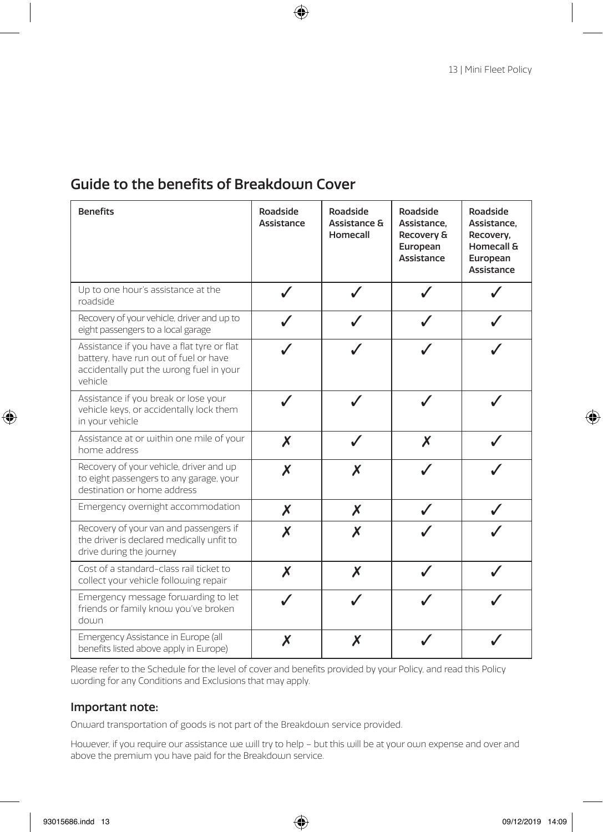## Guide to the benefits of Breakdoun Cover

| <b>Benefits</b>                                                                                                                           | Roadside<br>Assistance | Roadside<br>Assistance &<br>Homecall | Roadside<br>Assistance.<br>Recovery &<br>European<br>Assistance | Roadside<br>Assistance.<br>Recovery,<br>Homecall &<br>European<br>Assistance |
|-------------------------------------------------------------------------------------------------------------------------------------------|------------------------|--------------------------------------|-----------------------------------------------------------------|------------------------------------------------------------------------------|
| Up to one hour's assistance at the<br>roadside                                                                                            |                        |                                      |                                                                 |                                                                              |
| Recovery of your vehicle, driver and up to<br>eight passengers to a local garage                                                          |                        |                                      |                                                                 |                                                                              |
| Assistance if you have a flat tyre or flat<br>battery, have run out of fuel or have<br>accidentally put the wrong fuel in your<br>vehicle |                        |                                      |                                                                 |                                                                              |
| Assistance if you break or lose your<br>vehicle keys, or accidentally lock them<br>in your vehicle                                        | $\checkmark$           |                                      |                                                                 |                                                                              |
| Assistance at or within one mile of your<br>home address                                                                                  | X                      |                                      | X                                                               |                                                                              |
| Recovery of your vehicle, driver and up<br>to eight passengers to any garage, your<br>destination or home address                         | X                      | X                                    |                                                                 |                                                                              |
| Emergency overnight accommodation                                                                                                         | $\boldsymbol{X}$       | X                                    | J                                                               |                                                                              |
| Recovery of your van and passengers if<br>the driver is declared medically unfit to<br>drive during the journey                           | Χ                      | X                                    |                                                                 |                                                                              |
| Cost of a standard-class rail ticket to<br>collect your vehicle following repair                                                          | X                      | X                                    |                                                                 |                                                                              |
| Emergency message forwarding to let<br>friends or family know you've broken<br>doum                                                       |                        |                                      |                                                                 |                                                                              |
| Emergency Assistance in Europe (all<br>benefits listed above apply in Europe)                                                             | Х                      | Х                                    |                                                                 |                                                                              |

Please refer to the Schedule for the level of cover and benefits provided by your Policy, and read this Policy wording for any Conditions and Exclusions that may apply.

### Important note:

Onward transportation of goods is not part of the Breakdown service provided.

However, if you require our assistance we will try to help – but this will be at your own expense and over and above the premium you have paid for the Breakdown service.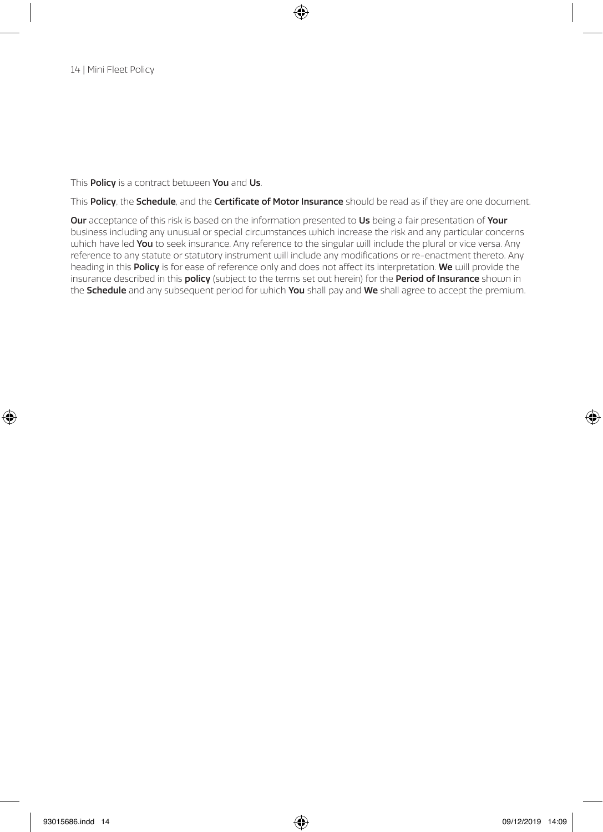### This **Policy** is a contract between **You** and Us.

This Policy, the Schedule, and the Certificate of Motor Insurance should be read as if they are one document.

Our acceptance of this risk is based on the information presented to Us being a fair presentation of Your business including any unusual or special circumstances which increase the risk and any particular concerns which have led You to seek insurance. Any reference to the singular will include the plural or vice versa. Any reference to any statute or statutory instrument will include any modifications or re-enactment thereto. Any heading in this Policy is for ease of reference only and does not affect its interpretation. We will provide the insurance described in this policy (subject to the terms set out herein) for the Period of Insurance shown in the Schedule and any subsequent period for which You shall pay and We shall agree to accept the premium.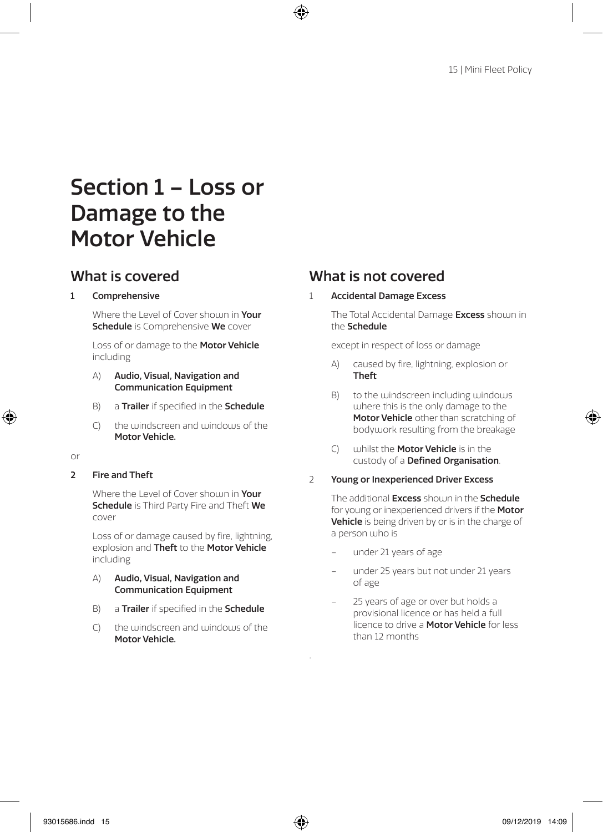# Section 1 – Loss or Damage to the Motor Vehicle

### 1 Comprehensive

Where the Level of Cover shoum in Your Schedule is Comprehensive We cover

Loss of or damage to the Motor Vehicle including

- A) Audio, Visual, Navigation and Communication Equipment
- B) a Trailer if specified in the Schedule
- C) the windscreen and windows of the Motor Vehicle.

or

2 Fire and Theft

Where the Level of Cover shoum in Your **Schedule** is Third Party Fire and Theft We cover

Loss of or damage caused by fire, lightning, explosion and Theft to the Motor Vehicle including

- A) Audio, Visual, Navigation and Communication Equipment
- B) a Trailer if specified in the Schedule
- $C$ ) the windscreen and windows of the Motor Vehicle.

## What is covered What is not covered

1 Accidental Damage Excess

The Total Accidental Damage Excess shown in the Schedule

except in respect of loss or damage

- A) caused by fire, lightning, explosion or Theft
- B) to the windscreen including windows where this is the only damage to the Motor Vehicle other than scratching of bodywork resulting from the breakage
- C) whilst the Motor Vehicle is in the custody of a Defined Organisation.
- 2 Young or Inexperienced Driver Excess

The additional **Excess** shown in the **Schedule** for young or inexperienced drivers if the Motor Vehicle is being driven by or is in the charge of a person who is

– under 21 years of age

.

- under 25 years but not under 21 years of age
- 25 years of age or over but holds a provisional licence or has held a full licence to drive a **Motor Vehicle** for less than 12 months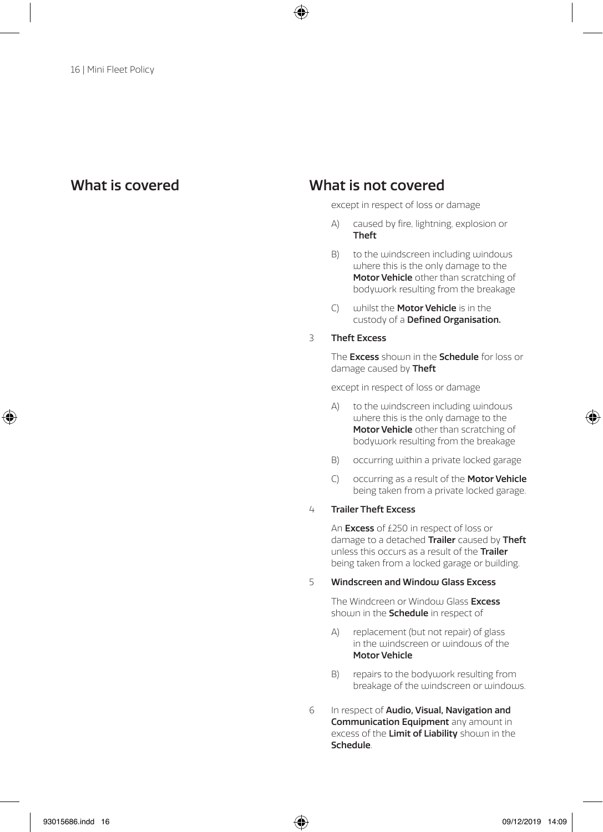### What is covered What is not covered

except in respect of loss or damage

- A) caused by fire, lightning, explosion or Theft
- B) to the windscreen including windows where this is the only damage to the Motor Vehicle other than scratching of bodywork resulting from the breakage
- C) whilst the Motor Vehicle is in the custody of a Defined Organisation.

### 3 Theft Excess

The **Excess** should in the **Schedule** for loss or damage caused by Theft

except in respect of loss or damage

- A) to the windscreen including windows where this is the only damage to the Motor Vehicle other than scratching of bodywork resulting from the breakage
- B) occurring within a private locked garage
- C) occurring as a result of the **Motor Vehicle** being taken from a private locked garage.

### 4 Trailer Theft Excess

An **Excess** of £250 in respect of loss or damage to a detached Trailer caused by Theft unless this occurs as a result of the Trailer being taken from a locked garage or building.

### 5 Windscreen and Windou Glass Excess

The Windcreen or Window Glass Excess shown in the **Schedule** in respect of

- A) replacement (but not repair) of glass in the windscreen or windows of the Motor Vehicle
- B) repairs to the bodywork resulting from breakage of the windscreen or windows.
- 6 In respect of Audio, Visual, Navigation and Communication **Equipment** any amount in excess of the Limit of Liability shown in the Schedule.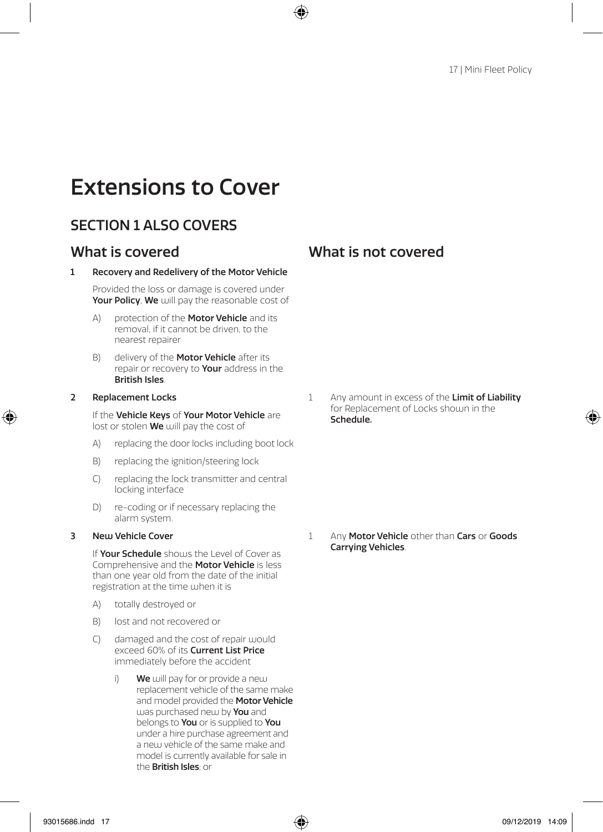# Extensions to Cover

## SECTION 1 ALSO COVERS

### 1 Recovery and Redelivery of the Motor Vehicle

Provided the loss or damage is covered under Your Policy, We will pay the reasonable cost of

- A) protection of the **Motor Vehicle** and its removal, if it cannot be driven, to the nearest repairer
- B) delivery of the **Motor Vehicle** after its repair or recovery to Your address in the British Isles.

### 2 Replacement Locks

If the Vehicle Keys of Your Motor Vehicle are lost or stolen We will pay the cost of

- A) replacing the door locks including boot lock
- B) replacing the ignition/steering lock
- C) replacing the lock transmitter and central locking interface
- D) re-coding or if necessary replacing the alarm system.

### 3 New Vehicle Cover

If Your Schedule shouls the Level of Cover as Comprehensive and the Motor Vehicle is less than one year old from the date of the initial registration at the time when it is

- A) totally destroyed or
- B) lost and not recovered or
- C) damaged and the cost of repair would exceed 60% of its **Current List Price** immediately before the accident
	- i) We will pay for or provide a new replacement vehicle of the same make and model provided the **Motor Vehicle** was purchased new by **You** and belongs to You or is supplied to You under a hire purchase agreement and a new vehicle of the same make and model is currently available for sale in the British Isles; or

1 Any amount in excess of the Limit of Liability for Replacement of Locks shown in the Schedule.

1 Any Motor Vehicle other than Cars or Goods Carrying Vehicles.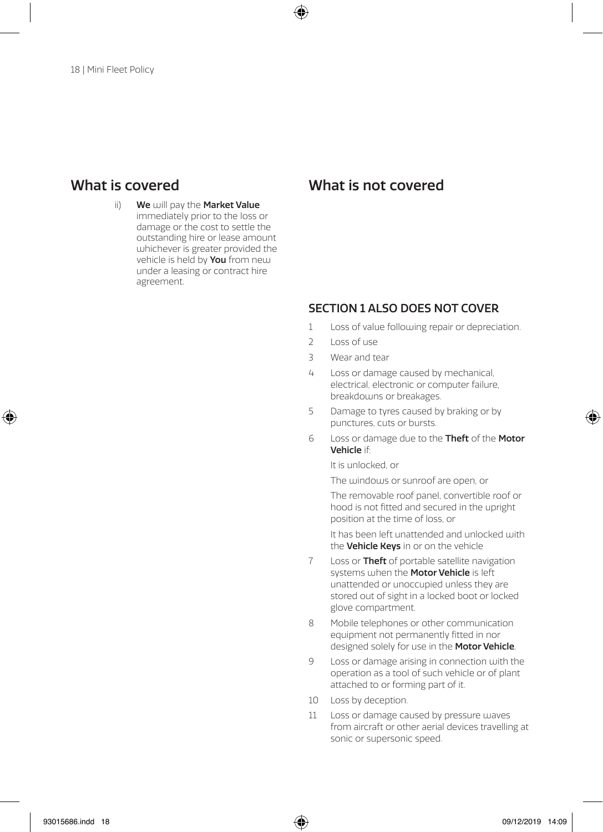ii) We will pay the Market Value immediately prior to the loss or damage or the cost to settle the outstanding hire or lease amount whichever is greater provided the vehicle is held by **You** from new under a leasing or contract hire agreement.

### What is covered What is not covered

### SECTION 1 ALSO DOES NOT COVER

- 1 Loss of value following repair or depreciation.
- 2 Loss of use
- 3 Wear and tear
- 4 Loss or damage caused by mechanical, electrical, electronic or computer failure, breakdowns or breakages.
- 5 Damage to tyres caused by braking or by punctures, cuts or bursts.
- 6 Loss or damage due to the Theft of the Motor Vehicle if:

It is unlocked, or

The windows or sunroof are open, or

The removable roof panel, convertible roof or hood is not fitted and secured in the upright position at the time of loss, or

It has been left unattended and unlocked with the Vehicle Keys in or on the vehicle

- 7 Loss or Theft of portable satellite navigation systems when the **Motor Vehicle** is left unattended or unoccupied unless they are stored out of sight in a locked boot or locked glove compartment.
- 8 Mobile telephones or other communication equipment not permanently fitted in nor designed solely for use in the **Motor Vehicle**.
- 9 Loss or damage arising in connection with the operation as a tool of such vehicle or of plant attached to or forming part of it.
- 10 Loss by deception.
- 11 Loss or damage caused by pressure waves from aircraft or other aerial devices travelling at sonic or supersonic speed.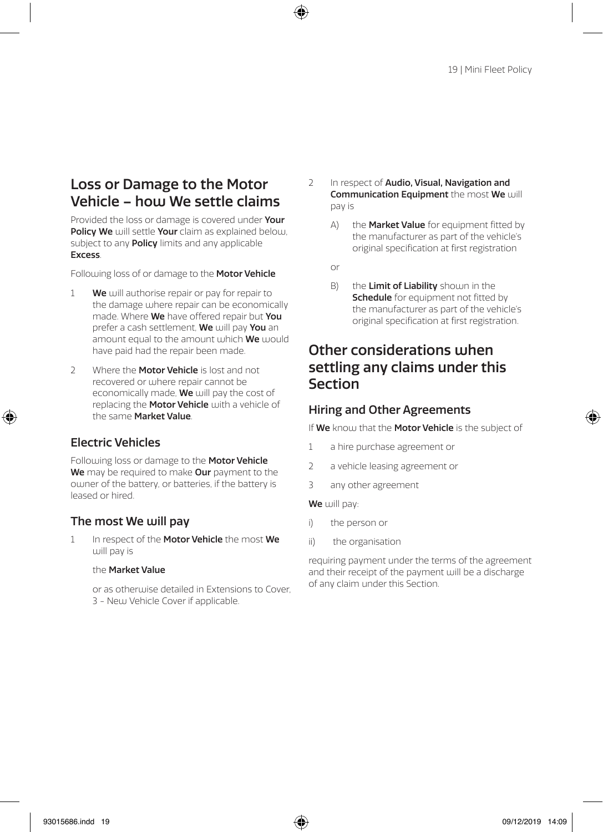## Loss or Damage to the Motor Vehicle – how We settle claims

Provided the loss or damage is covered under Your Policy We will settle Your claim as explained below. subject to any **Policy** limits and any applicable **Excess** 

Following loss of or damage to the **Motor Vehicle** 

- $1$  We will authorise repair or pay for repair to the damage where repair can be economically made. Where We have offered repair but You prefer a cash settlement, We will pay You an amount equal to the amount which We would have paid had the repair been made.
- 2 Where the **Motor Vehicle** is lost and not recovered or where repair cannot be economically made, We will pay the cost of replacing the Motor Vehicle with a vehicle of the same Market Value.

### Electric Vehicles

Following loss or damage to the Motor Vehicle We may be required to make Our payment to the owner of the battery, or batteries, if the battery is leased or hired.

### The most We will pay

1 In respect of the Motor Vehicle the most We u ill pay is

### the Market Value

or as otherwise detailed in Extensions to Cover. 3 - Neu Vehicle Cover if applicable.

- 2 In respect of Audio, Visual, Navigation and **Communication Fquipment** the most We will pay is
	- A) the Market Value for equipment fitted by the manufacturer as part of the vehicle's original specification at first registration
	- or
	- B) the **Limit of Liability** shown in the Schedule for equipment not fitted by the manufacturer as part of the vehicle's original specification at first registration.

## Other considerations when settling any claims under this Section

### Hiring and Other Agreements

If We know that the Motor Vehicle is the subject of

- 1 a hire purchase agreement or
- 2 a vehicle leasing agreement or
- 3 any other agreement

### We will pay:

- i) the person or
- ii) the organisation

requiring payment under the terms of the agreement and their receipt of the payment will be a discharge of any claim under this Section.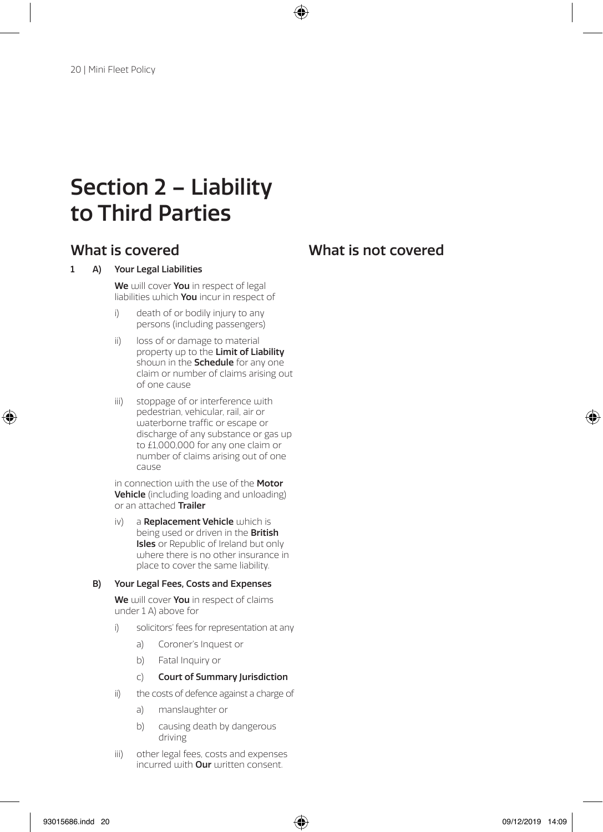# Section 2 – Liability to Third Parties

## What is covered What is not covered

### 1 A) Your Legal Liabilities

We will cover You in respect of legal liabilities which You incur in respect of

- i) death of or bodily injury to any persons (including passengers)
- ii) loss of or damage to material property up to the Limit of Liability shown in the **Schedule** for any one claim or number of claims arising out of one cause
- iii) stoppage of or interference with pedestrian, vehicular, rail, air or waterborne traffic or escape or discharge of any substance or gas up to £1,000,000 for any one claim or number of claims arising out of one cause

in connection with the use of the **Motor** Vehicle (including loading and unloading) or an attached Trailer

iv) a Replacement Vehicle which is being used or driven in the **British** Isles or Republic of Ireland but only where there is no other insurance in place to cover the same liability.

### B) Your Legal Fees, Costs and Expenses

We will cover You in respect of claims under 1 A) above for

- i) solicitors' fees for representation at any
	- a) Coroner's Inquest or
	- b) Fatal Inquiry or
	- c) Court of Summary Jurisdiction
- ii) the costs of defence against a charge of
	- a) manslaughter or
	- b) causing death by dangerous driving
- iii) other legal fees, costs and expenses incurred with **Our** written consent.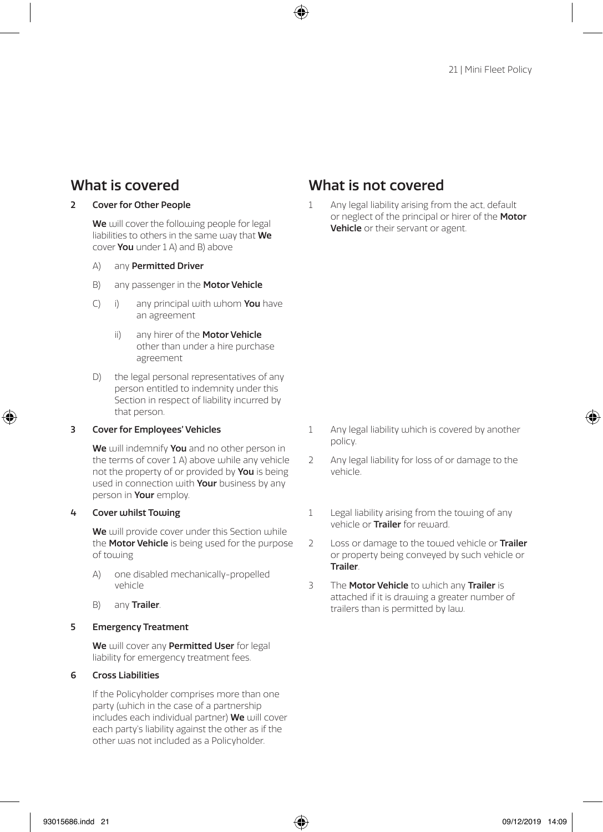### 2 Cover for Other People

We will cover the following people for legal liabilities to others in the same way that We cover You under 1 A) and B) above

- A) any Permitted Driver
- B) any passenger in the **Motor Vehicle**
- $(C)$  i) any principal with whom **You** have an agreement
	- ii) any hirer of the **Motor Vehicle** other than under a hire purchase agreement
- D) the legal personal representatives of any person entitled to indemnity under this Section in respect of liability incurred by that person.

### 3 Cover for Employees' Vehicles

We will indemnify You and no other person in the terms of cover 1 A) above while any vehicle not the property of or provided by You is being used in connection with **Your** business by any person in **Your** employ.

### 4 Cover whilst Towing

We will provide cover under this Section while the **Motor Vehicle** is being used for the purpose of towing

- A) one disabled mechanically-propelled vehicle
- B) any Trailer.

### 5 Emergency Treatment

We will cover any Permitted User for legal liability for emergency treatment fees.

### 6 Cross Liabilities

If the Policyholder comprises more than one party (which in the case of a partnership includes each individual partner) We will cover each party's liability against the other as if the other was not included as a Policyholder.

## What is covered What is not covered

1 Any legal liability arising from the act, default or neglect of the principal or hirer of the Motor Vehicle or their servant or agent.

- 1 Any legal liability which is covered by another policy.
- 2 Any legal liability for loss of or damage to the vehicle.
- 1 Legal liability arising from the towing of any vehicle or Trailer for reward.
- 2 Loss or damage to the towed vehicle or **Trailer** or property being conveyed by such vehicle or Trailer.
- 3 The Motor Vehicle to which any Trailer is attached if it is drawing a greater number of trailers than is permitted by law.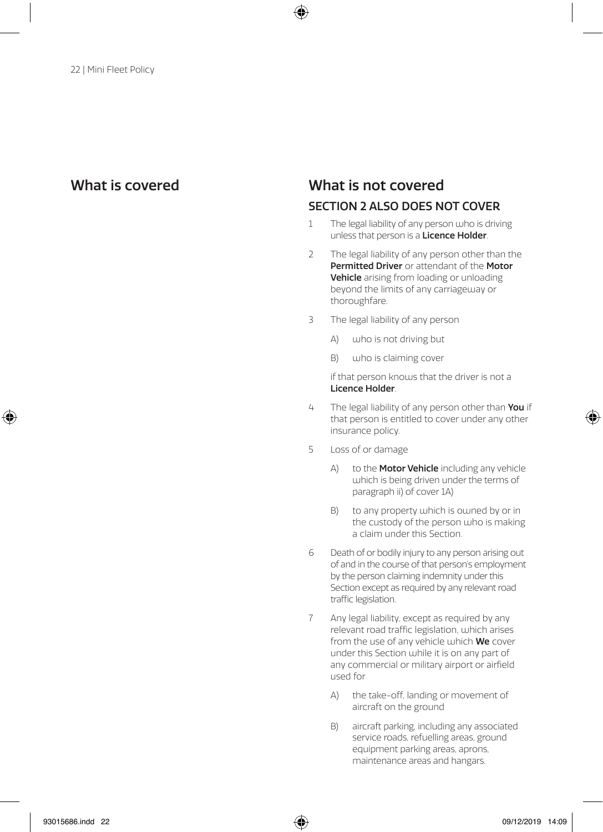### What is covered What is not covered

### SECTION 2 ALSO DOES NOT COVER

- 1 The legal liability of any person who is driving unless that person is a Licence Holder.
- 2 The legal liability of any person other than the Permitted Driver or attendant of the Motor Vehicle arising from loading or unloading beyond the limits of any carriageway or thoroughfare.
- 3 The legal liability of any person
	- A) who is not driving but
	- B) who is claiming cover

if that person knows that the driver is not a Licence Holder.

- 4 The legal liability of any person other than You if that person is entitled to cover under any other insurance policy.
- 5 Loss of or damage
	- A) to the **Motor Vehicle** including any vehicle which is being driven under the terms of paragraph ii) of cover 1A)
	- B) to any property which is owned by or in the custody of the person who is making a claim under this Section.
- 6 Death of or bodily injury to any person arising out of and in the course of that person's employment by the person claiming indemnity under this Section except as required by any relevant road traffic legislation.
- 7 Any legal liability, except as required by any relevant road traffic legislation, which arises from the use of any vehicle which **We** cover under this Section while it is on any part of any commercial or military airport or airfield used for
	- A) the take-off, landing or movement of aircraft on the ground
	- B) aircraft parking, including any associated service roads, refuelling areas, ground equipment parking areas, aprons, maintenance areas and hangars.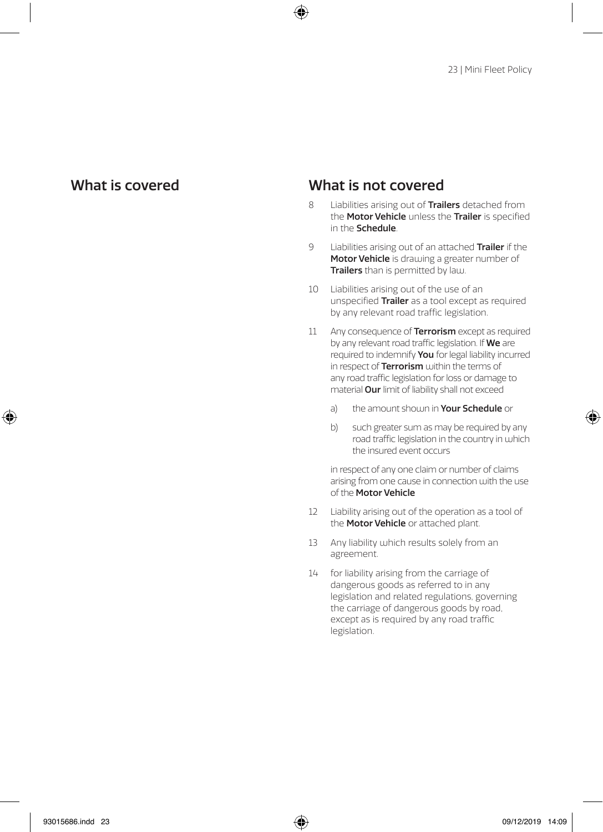## What is covered What is not covered

- 8 Liabilities arising out of Trailers detached from the Motor Vehicle unless the Trailer is specified in the Schedule.
- 9 Liabilities arising out of an attached Trailer if the Motor Vehicle is drawing a greater number of Trailers than is permitted by law.
- 10 Liabilities arising out of the use of an unspecified Trailer as a tool except as required by any relevant road traffic legislation.
- 11 Any consequence of **Terrorism** except as required by any relevant road traffic legislation. If We are required to indemnify You for legal liability incurred in respect of  $\text{Terrorism}$  within the terms of any road traffic legislation for loss or damage to material Our limit of liability shall not exceed
	- a) the amount shoum in Your Schedule or
	- b) such greater sum as may be required by any road traffic legislation in the country in which the insured event occurs

in respect of any one claim or number of claims arising from one cause in connection with the use of the Motor Vehicle

- 12 Liability arising out of the operation as a tool of the **Motor Vehicle** or attached plant.
- 13 Any liability which results solely from an agreement.
- 14 for liability arising from the carriage of dangerous goods as referred to in any legislation and related regulations, governing the carriage of dangerous goods by road, except as is required by any road traffic legislation.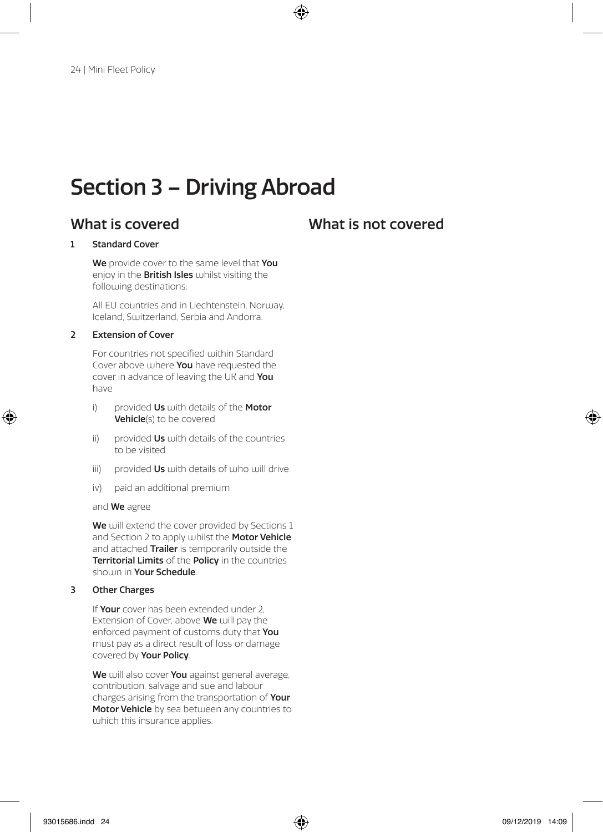## Section 3 – Driving Abroad

## What is covered What is not covered

### 1 Standard Cover

We provide cover to the same level that You enjoy in the **British Isles** whilst visiting the following destinations:

All EU countries and in Liechtenstein, Norway, Iceland, Switzerland, Serbia and Andorra.

### 2 Extension of Cover

For countries not specified within Standard Cover above where You have requested the cover in advance of leaving the UK and You have

- i) provided  $Us$  with details of the **Motor** Vehicle(s) to be covered
- ii) provided  $\mathsf{U}\mathsf{s}$  with details of the countries to be visited
- iii) provided Us with details of who will drive
- iv) paid an additional premium

and We agree

We will extend the cover provided by Sections 1 and Section 2 to apply whilst the Motor Vehicle and attached Trailer is temporarily outside the Territorial Limits of the Policy in the countries shown in Your Schedule.

### 3 Other Charges

If Your cover has been extended under 2. Extension of Cover, above We will pay the enforced payment of customs duty that You must pay as a direct result of loss or damage covered by Your Policy.

We will also cover You against general average, contribution, salvage and sue and labour charges arising from the transportation of Your Motor Vehicle by sea between any countries to which this insurance applies.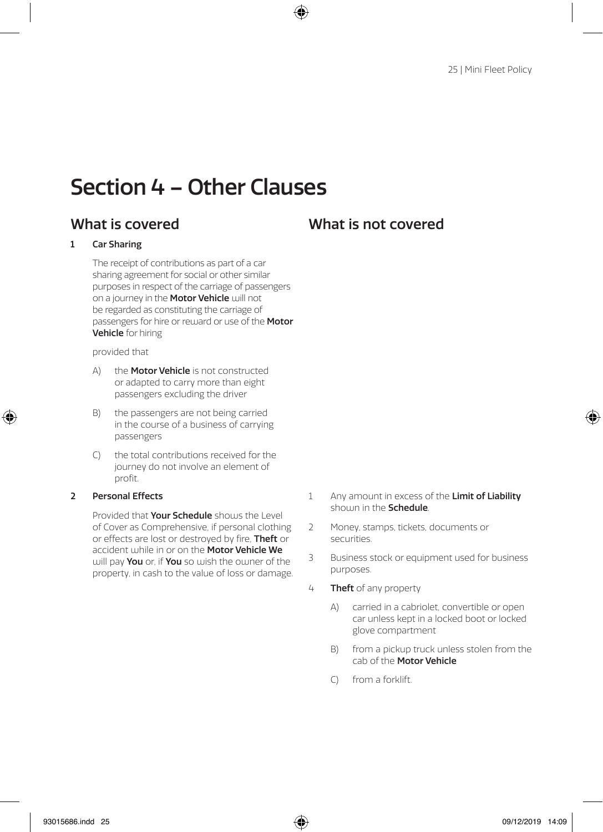## Section 4 – Other Clauses

## What is covered What is not covered

### 1 Car Sharing

The receipt of contributions as part of a car sharing agreement for social or other similar purposes in respect of the carriage of passengers on a journey in the Motor Vehicle will not be regarded as constituting the carriage of passengers for hire or reward or use of the Motor Vehicle for hiring

### provided that

- A) the **Motor Vehicle** is not constructed or adapted to carry more than eight passengers excluding the driver
- B) the passengers are not being carried in the course of a business of carrying passengers
- C) the total contributions received for the journey do not involve an element of profit.

### 2 Personal Effects

Provided that Your Schedule shours the Level of Cover as Comprehensive, if personal clothing or effects are lost or destroyed by fire. **Theft** or accident while in or on the **Motor Vehicle We** will pay You or, if You so wish the owner of the property, in cash to the value of loss or damage.

- 1 Any amount in excess of the Limit of Liability shown in the Schedule.
- 2 Money, stamps, tickets, documents or securities.
- 3 Business stock or equipment used for business purposes.
- 4 Theft of any property
	- A) carried in a cabriolet, convertible or open car unless kept in a locked boot or locked glove compartment
	- B) from a pickup truck unless stolen from the cab of the Motor Vehicle
	- C) from a forklift.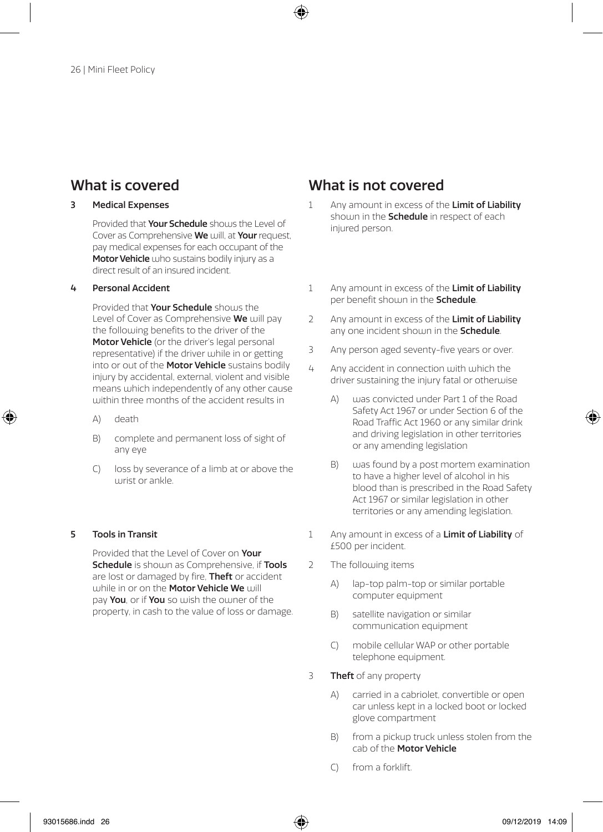### 3 Medical Expenses

Provided that **Your Schedule** shours the Level of Cover as Comprehensive We will, at Your request, pay medical expenses for each occupant of the Motor Vehicle who sustains bodily injury as a direct result of an insured incident.

### 4 Personal Accident

Provided that Your Schedule shouls the Level of Cover as Comprehensive We will pay the following benefits to the driver of the Motor Vehicle (or the driver's legal personal representative) if the driver while in or getting into or out of the Motor Vehicle sustains bodily injury by accidental, external, violent and visible means which independently of any other cause within three months of the accident results in

- A) death
- B) complete and permanent loss of sight of any eye
- C) loss by severance of a limb at or above the  $urist$  or ankle.

### 5 Tools in Transit

Provided that the Level of Cover on Your Schedule is shown as Comprehensive, if Tools are lost or damaged by fire, Theft or accident while in or on the Motor Vehicle We will pay You, or if You so wish the owner of the property, in cash to the value of loss or damage.

- 1 Any amount in excess of the Limit of Liability shown in the **Schedule** in respect of each injured person.
- 1 Any amount in excess of the Limit of Liability per benefit shown in the Schedule.
- 2 Any amount in excess of the Limit of Liability any one incident shouln in the **Schedule**.
- 3 Any person aged seventy-five years or over.
- $4$  Any accident in connection with which the driver sustaining the injury fatal or otherwise
	- A) was convicted under Part 1 of the Road Safety Act 1967 or under Section 6 of the Road Traffic Act 1960 or any similar drink and driving legislation in other territories or any amending legislation
	- B) was found by a post mortem examination to have a higher level of alcohol in his blood than is prescribed in the Road Safety Act 1967 or similar legislation in other territories or any amending legislation.
- 1 Any amount in excess of a **Limit of Liability** of £500 per incident.
- 2 The following items
	- A) lap-top palm-top or similar portable computer equipment
	- B) satellite navigation or similar communication equipment
	- C) mobile cellular WAP or other portable telephone equipment.
- 3 Theft of any property
	- A) carried in a cabriolet, convertible or open car unless kept in a locked boot or locked glove compartment
	- B) from a pickup truck unless stolen from the cab of the Motor Vehicle
	- C) from a forklift.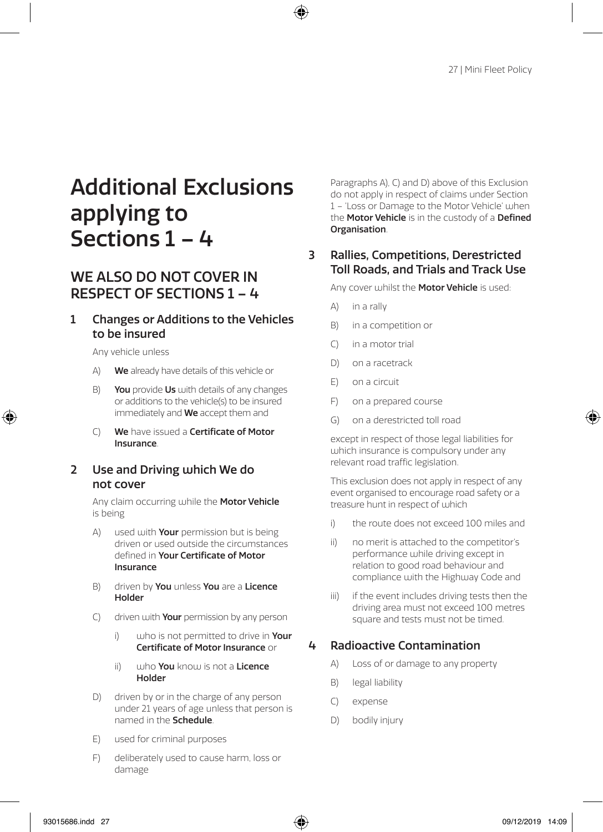# Additional Exclusions applying to Sections 1 – 4

## WE ALSO DO NOT COVER IN RESPECT OF SECTIONS 1 – 4

### 1 Changes or Additions to the Vehicles to be insured

Any vehicle unless

- A) We already have details of this vehicle or
- B) You provide Us with details of any changes or additions to the vehicle(s) to be insured immediately and We accept them and
- C) We have issued a Certificate of Motor Insurance.

### 2 Use and Driving which We do not cover

Any claim occurring while the Motor Vehicle is being

- $A)$  used with **Your** permission but is being driven or used outside the circumstances defined in Your Certificate of Motor Insurance
- B) driven by You unless You are a Licence Holder
- C) driven with **Your** permission by any person
	- i) who is not permitted to drive in **Your** Certificate of Motor Insurance or
	- ii) who You know is not a Licence Holder
- D) driven by or in the charge of any person under 21 years of age unless that person is named in the Schedule.
- E) used for criminal purposes
- F) deliberately used to cause harm, loss or damage

Paragraphs A), C) and D) above of this Exclusion do not apply in respect of claims under Section 1 – 'Loss or Damage to the Motor Vehicle' when the **Motor Vehicle** is in the custody of a Defined Organisation.

### 3 Rallies, Competitions, Derestricted Toll Roads, and Trials and Track Use

Any cover whilst the **Motor Vehicle** is used:

- A) in a rally
- B) in a competition or
- C) in a motor trial
- D) on a racetrack
- E) on a circuit
- F) on a prepared course
- G) on a derestricted toll road

except in respect of those legal liabilities for which insurance is compulsory under any relevant road traffic legislation.

This exclusion does not apply in respect of any event organised to encourage road safety or a treasure hunt in respect of which

- i) the route does not exceed 100 miles and
- ii) no merit is attached to the competitor's performance while driving except in relation to good road behaviour and compliance with the Highway Code and
- iii) if the event includes driving tests then the driving area must not exceed 100 metres square and tests must not be timed.

### 4 Radioactive Contamination

- A) Loss of or damage to any property
- B) legal liability
- C) expense
- D) bodily injury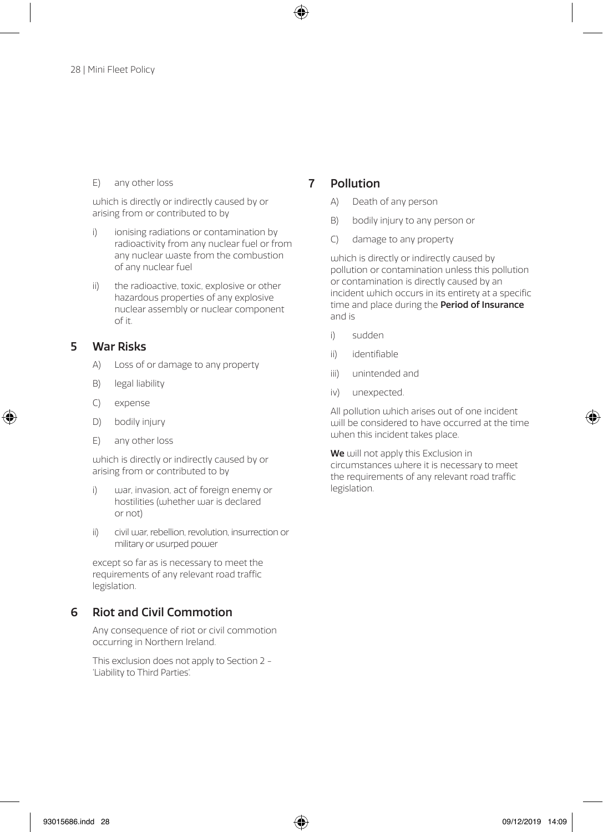### E) any other loss

which is directly or indirectly caused by or arising from or contributed to by

- i) ionising radiations or contamination by radioactivity from any nuclear fuel or from any nuclear waste from the combustion of any nuclear fuel
- ii) the radioactive, toxic, explosive or other hazardous properties of any explosive nuclear assembly or nuclear component of it.

### 5 War Risks

- A) Loss of or damage to any property
- B) legal liability
- C) expense
- D) bodily injury
- E) any other loss

which is directly or indirectly caused by or arising from or contributed to by

- i) war, invasion, act of foreign enemy or hostilities (whether war is declared or not)
- ii) civil war, rebellion, revolution, insurrection or military or usurped power

except so far as is necessary to meet the requirements of any relevant road traffic legislation.

### 6 Riot and Civil Commotion

Any consequence of riot or civil commotion occurring in Northern Ireland.

This exclusion does not apply to Section 2 - 'Liability to Third Parties'.

### 7 Pollution

- A) Death of any person
- B) bodily injury to any person or
- C) damage to any property

which is directly or indirectly caused by pollution or contamination unless this pollution or contamination is directly caused by an incident which occurs in its entirety at a specific time and place during the Period of Insurance and is

- i) sudden
- ii) identifiable
- iii) unintended and
- iv) unexpected.

All pollution which arises out of one incident will be considered to have occurred at the time when this incident takes place.

We will not apply this Exclusion in circumstances where it is necessary to meet the requirements of any relevant road traffic legislation.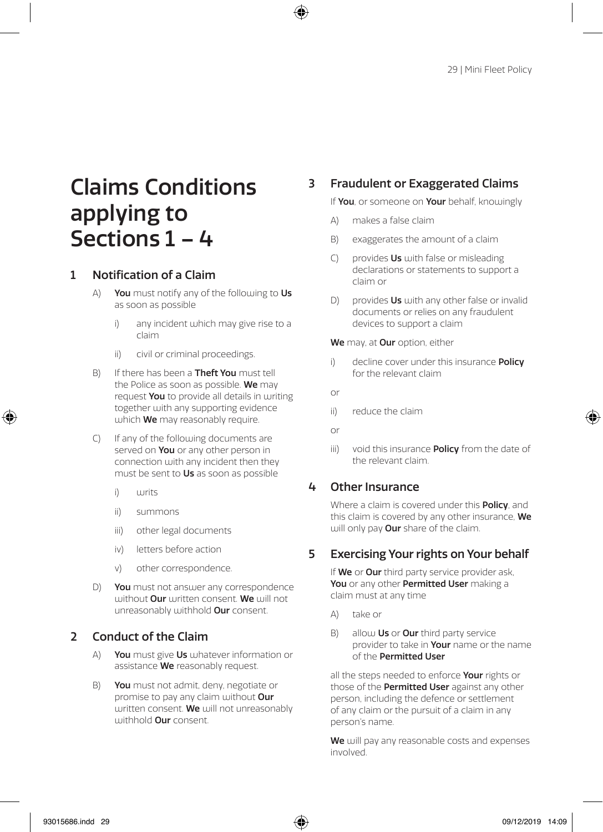# Claims Conditions applying to Sections 1 – 4

### 1 Notification of a Claim

- A) You must notify any of the following to  $Us$ as soon as possible
	- i) any incident which may give rise to a claim
	- ii) civil or criminal proceedings.
- B) If there has been a **Theft You** must tell the Police as soon as possible. We may request You to provide all details in juriting together with any supporting evidence which **We** may reasonably require.
- C) If any of the following documents are served on You or any other person in connection with any incident then they must be sent to Us as soon as possible
	- i) writs
	- ii) summons
	- iii) other legal documents
	- iv) letters before action
	- v) other correspondence.
- D) You must not answer any correspondence without Our written consent. We will not unreasonably withhold **Our** consent.

### 2 Conduct of the Claim

- A) You must give Us whatever information or assistance We reasonably request.
- B) You must not admit, deny, negotiate or promise to pay any claim without Our written consent. We will not unreasonably withhold **Our** consent.

## 3 Fraudulent or Exaggerated Claims

If You, or someone on Your behalf, knowingly

- A) makes a false claim
- B) exaggerates the amount of a claim
- $C$ ) provides **Us** with false or misleading declarations or statements to support a claim or
- D) provides  $Us$  with any other false or invalid documents or relies on any fraudulent devices to support a claim

We may, at Our option, either

- i) decline cover under this insurance **Policy** for the relevant claim
- or
- ii) reduce the claim
- or
- iii) void this insurance **Policy** from the date of the relevant claim.

### 4 Other Insurance

Where a claim is covered under this **Policy**, and this claim is covered by any other insurance. We will only pay **Our** share of the claim.

### 5 Exercising Your rights on Your behalf

If We or Our third party service provider ask, You or any other Permitted User making a claim must at any time

- A) take or
- B) allow Us or Our third party service provider to take in **Your** name or the name of the Permitted User

all the steps needed to enforce Your rights or those of the Permitted User against any other person, including the defence or settlement of any claim or the pursuit of a claim in any person's name.

We will pay any reasonable costs and expenses involved.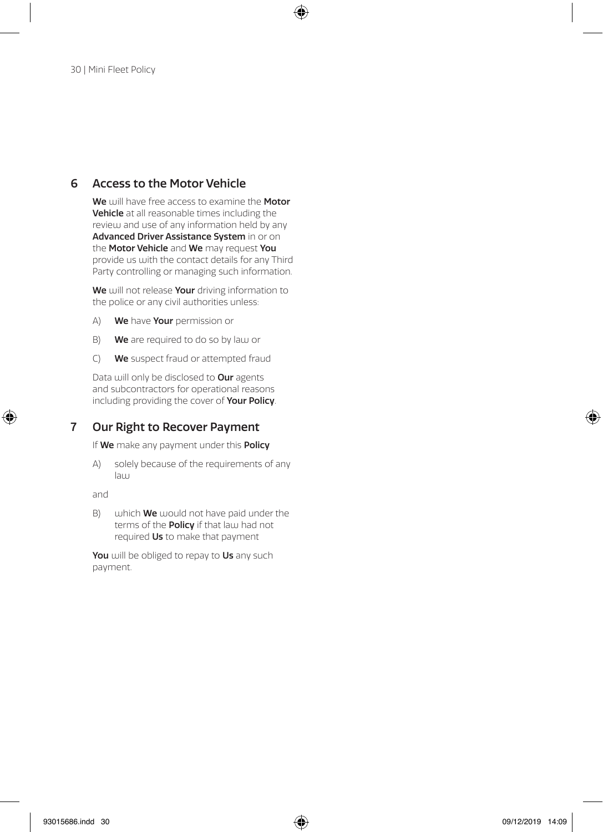### 6 Access to the Motor Vehicle

We will have free access to examine the Motor Vehicle at all reasonable times including the review and use of any information held by any Advanced Driver Assistance System in or on the Motor Vehicle and We may request You provide us with the contact details for any Third Party controlling or managing such information.

We will not release Your driving information to the police or any civil authorities unless:

- A) We have Your permission or
- B) We are required to do so by law or
- C) We suspect fraud or attempted fraud

Data will only be disclosed to Our agents and subcontractors for operational reasons including providing the cover of Your Policy.

### 7 Our Right to Recover Payment

If We make any payment under this Policy

A) solely because of the requirements of any law

and

 $B)$  which **We** would not have paid under the terms of the **Policy** if that law had not required Us to make that payment

You will be obliged to repay to Us any such payment.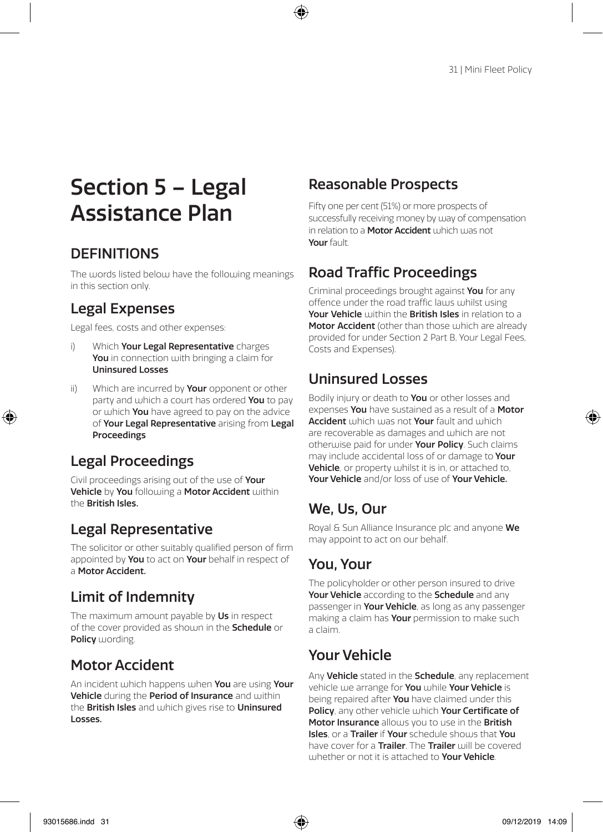# Section 5 – Legal Assistance Plan

## **DEFINITIONS**

The words listed below have the following meanings in this section only.

## Legal Expenses

Legal fees, costs and other expenses:

- i) Which Your Legal Representative charges You in connection with bringing a claim for Uninsured Losses
- ii) Which are incurred by **Your** opponent or other party and which a court has ordered You to pay or which You have agreed to pay on the advice of Your Legal Representative arising from Legal Proceedings

## Legal Proceedings

Civil proceedings arising out of the use of Your Vehicle by You following a Motor Accident within the British Isles.

## Legal Representative

The solicitor or other suitably qualified person of firm appointed by You to act on Your behalf in respect of a Motor Accident.

## Limit of Indemnity

The maximum amount payable by Us in respect of the cover provided as shoum in the **Schedule** or Policy wording.

## Motor Accident

An incident which happens when You are using Your Vehicle during the Period of Insurance and within the **British Isles** and which gives rise to **Uninsured** Losses.

## Reasonable Prospects

Fifty one per cent (51%) or more prospects of successfully receiving money by way of compensation in relation to a **Motor Accident** which was not Your fault.

## Road Traffic Proceedings

Criminal proceedings brought against You for any offence under the road traffic laws whilst using Your Vehicle within the British Isles in relation to a **Motor Accident** (other than those which are already provided for under Section 2 Part B, Your Legal Fees, Costs and Expenses).

## Uninsured Losses

Bodily injury or death to **You** or other losses and expenses You have sustained as a result of a Motor Accident which was not Your fault and which are recoverable as damages and which are not otherwise paid for under Your Policy. Such claims may include accidental loss of or damage to Your Vehicle, or property whilst it is in, or attached to, Your Vehicle and/or loss of use of Your Vehicle.

## We, Us, Our

Royal & Sun Alliance Insurance plc and anyone We may appoint to act on our behalf.

## You, Your

The policyholder or other person insured to drive Your Vehicle according to the Schedule and any passenger in Your Vehicle, as long as any passenger making a claim has Your permission to make such a claim.

## Your Vehicle

Any Vehicle stated in the Schedule, any replacement vehicle use arrange for You while Your Vehicle is being repaired after You have claimed under this Policy, any other vehicle which Your Certificate of Motor Insurance allows you to use in the British **Isles**, or a **Trailer** if **Your** schedule shours that You have cover for a **Trailer**. The **Trailer** will be covered whether or not it is attached to Your Vehicle.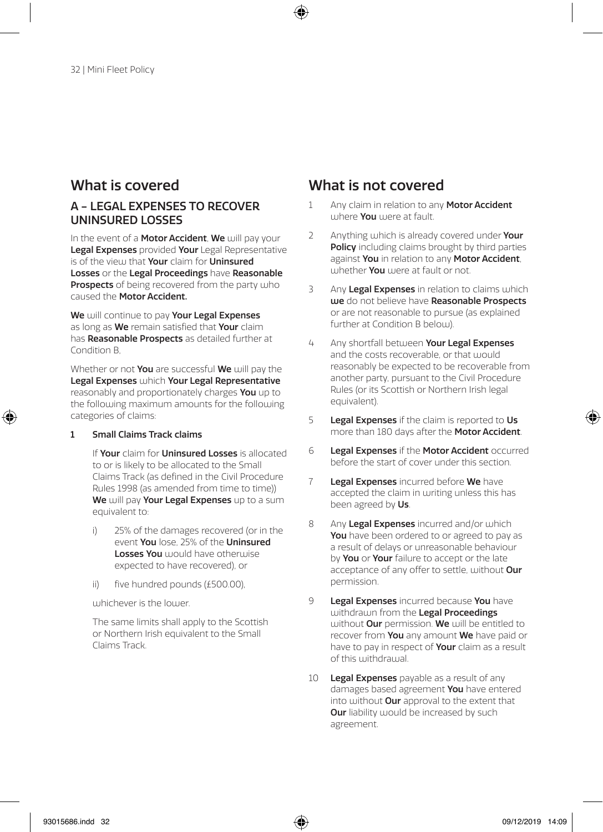### A - LEGAL EXPENSES TO RECOVER UNINSURED LOSSES

In the event of a **Motor Accident**, We will pay your Legal Expenses provided Your Legal Representative is of the view that Your claim for Uninsured Losses or the Legal Proceedings have Reasonable Prospects of being recovered from the party who caused the Motor Accident.

We will continue to pay Your Legal Expenses as long as We remain satisfied that Your claim has Reasonable Prospects as detailed further at Condition B,

Whether or not You are successful We will pay the Legal Expenses which Your Legal Representative reasonably and proportionately charges You up to the following maximum amounts for the following categories of claims:

### 1 Small Claims Track claims

If Your claim for Uninsured Losses is allocated to or is likely to be allocated to the Small Claims Track (as defined in the Civil Procedure Rules 1998 (as amended from time to time)) We will pay Your Legal Expenses up to a sum equivalent to:

- i) 25% of the damages recovered (or in the event You lose, 25% of the Uninsured **Losses You** would have otherwise expected to have recovered), or
- ii) five hundred pounds (£500.00),

whichever is the lower.

The same limits shall apply to the Scottish or Northern Irish equivalent to the Small Claims Track.

- 1 Any claim in relation to any Motor Accident where You were at fault.
- 2 Anything which is already covered under Your Policy including claims brought by third parties against You in relation to any Motor Accident. whether **You** were at fault or not.
- 3 Any Legal Expenses in relation to claims which we do not believe have Reasonable Prospects or are not reasonable to pursue (as explained further at Condition B below).
- 4 Any shortfall between Your Legal Expenses and the costs recoverable, or that would reasonably be expected to be recoverable from another party, pursuant to the Civil Procedure Rules (or its Scottish or Northern Irish legal equivalent).
- 5 Legal Expenses if the claim is reported to Us more than 180 days after the **Motor Accident**.
- 6 Legal Expenses if the Motor Accident occurred before the start of cover under this section.
- 7 Legal Expenses incurred before We have accepted the claim in writing unless this has been agreed by Us.
- 8 Any Legal Expenses incurred and/or which You have been ordered to or agreed to pay as a result of delays or unreasonable behaviour by **You** or **Your** failure to accept or the late acceptance of any offer to settle, without Our permission.
- 9 Legal Expenses incurred because You have withdrawn from the Legal Proceedings without Our permission. We will be entitled to recover from You any amount We have paid or have to pay in respect of Your claim as a result of this withdrawal.
- 10 Legal Expenses payable as a result of any damages based agreement You have entered into without **Our** approval to the extent that **Our** liability would be increased by such agreement.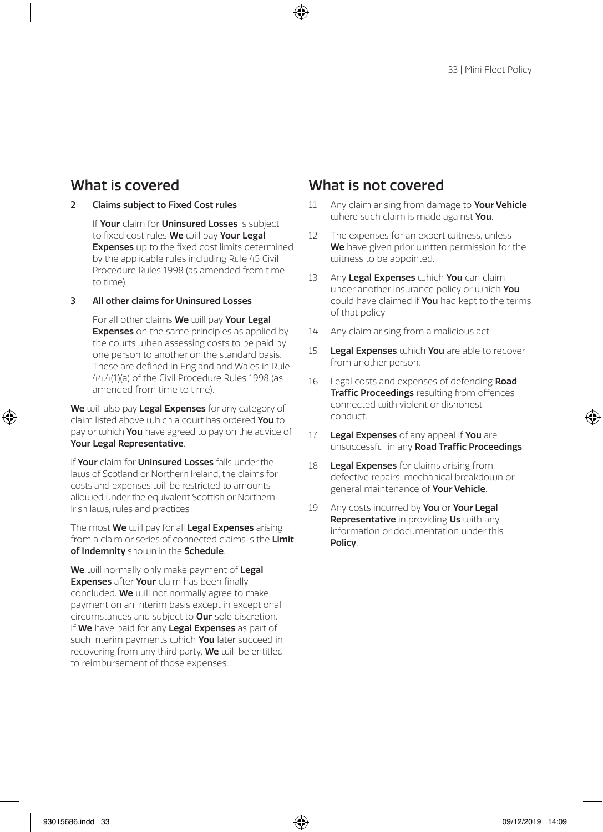### 2 Claims subject to Fixed Cost rules

If Your claim for Uninsured Losses is subject to fixed cost rules We will pay Your Legal Expenses up to the fixed cost limits determined by the applicable rules including Rule 45 Civil Procedure Rules 1998 (as amended from time to time).

### 3 All other claims for Uninsured Losses

For all other claims We will pay Your Legal **Expenses** on the same principles as applied by the courts when assessing costs to be paid by one person to another on the standard basis. These are defined in England and Wales in Rule 44.4(1)(a) of the Civil Procedure Rules 1998 (as amended from time to time).

We will also pay Legal Expenses for any category of claim listed above which a court has ordered You to pay or which You have agreed to pay on the advice of Your Legal Representative.

If Your claim for Uninsured Losses falls under the laws of Scotland or Northern Ireland, the claims for costs and expenses will be restricted to amounts allowed under the equivalent Scottish or Northern Irish laws, rules and practices.

The most We will pay for all Legal Expenses arising from a claim or series of connected claims is the Limit of Indemnity shouln in the Schedule.

We will normally only make payment of Legal **Expenses** after **Your** claim has been finally concluded. We will not normally agree to make payment on an interim basis except in exceptional circumstances and subject to Our sole discretion. If We have paid for any Legal Expenses as part of such interim payments which You later succeed in recovering from any third party, We will be entitled to reimbursement of those expenses.

- 11 Any claim arising from damage to Your Vehicle where such claim is made against You.
- 12 The expenses for an expert witness, unless We have given prior written permission for the witness to be appointed.
- 13 Any Legal Expenses which You can claim under another insurance policy or which You could have claimed if **You** had kept to the terms of that policy.
- 14 Any claim arising from a malicious act.
- 15 Legal Expenses which You are able to recover from another person.
- 16 Legal costs and expenses of defending Road Traffic Proceedings resulting from offences connected with violent or dishonest conduct.
- 17 Legal Expenses of any appeal if You are unsuccessful in any Road Traffic Proceedings.
- 18 **Legal Expenses** for claims arising from defective repairs, mechanical breakdown or general maintenance of Your Vehicle.
- 19 Any costs incurred by You or Your Legal **Representative** in providing Us with any information or documentation under this Policy.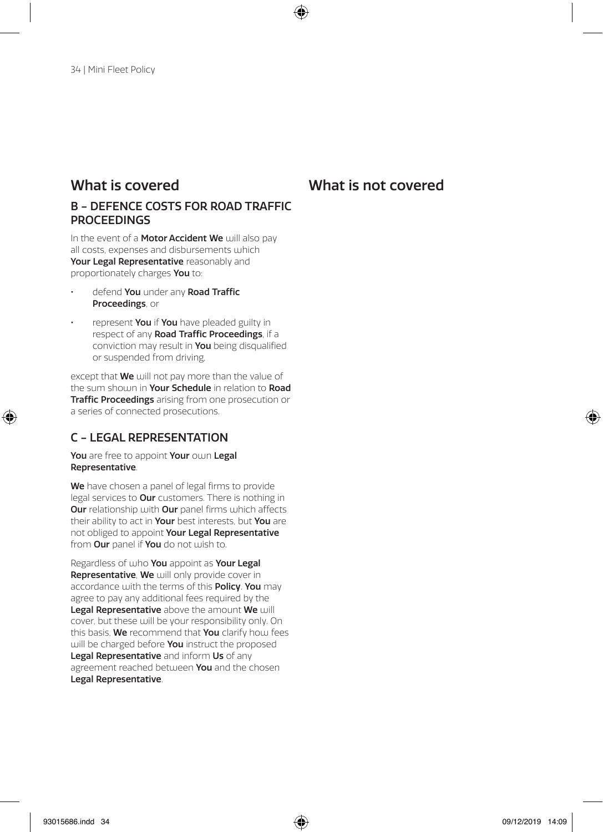### What is covered What is not covered

### B - DEFENCE COSTS FOR ROAD TRAFFIC **PROCEEDINGS**

In the event of a **Motor Accident We** will also pay all costs, expenses and disbursements which Your Legal Representative reasonably and proportionately charges You to:

- defend You under any Road Traffic Proceedings, or
- represent You if You have pleaded guilty in respect of any Road Traffic Proceedings, if a conviction may result in You being disqualified or suspended from driving,

except that **We** will not pay more than the value of the sum shoum in Your Schedule in relation to Road Traffic Proceedings arising from one prosecution or a series of connected prosecutions.

### C - LEGAL REPRESENTATION

You are free to appoint Your own Legal Representative.

We have chosen a panel of legal firms to provide legal services to **Our** customers. There is nothing in **Our** relationship with **Our** panel firms which affects their ability to act in Your best interests, but You are not obliged to appoint Your Legal Representative from Our panel if You do not wish to.

Regardless of who You appoint as Your Legal Representative, We will only provide cover in accordance with the terms of this **Policy. You** may agree to pay any additional fees required by the Legal Representative above the amount We will cover, but these will be your responsibility only. On this basis, We recommend that You clarify how fees will be charged before You instruct the proposed Legal Representative and inform Us of any agreement reached between You and the chosen Legal Representative.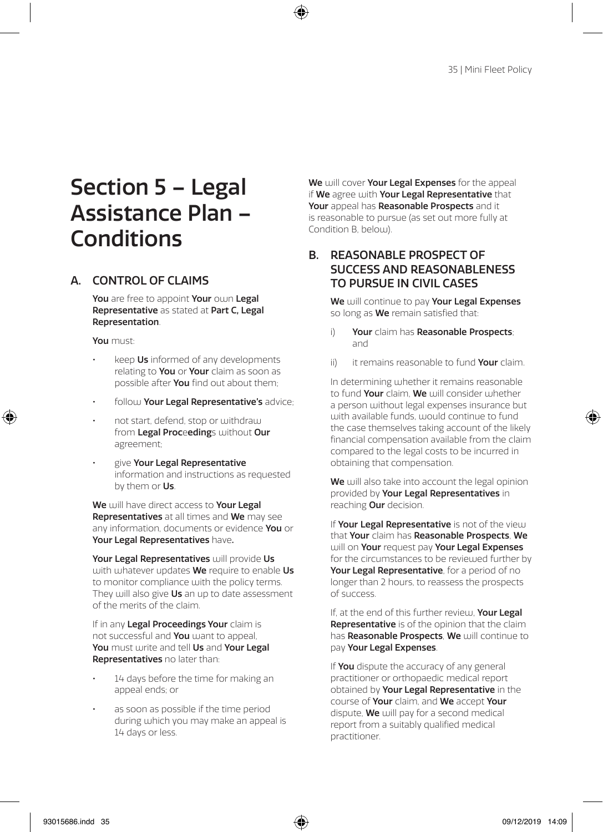# Section 5 – Legal Assistance Plan – Conditions

### A. CONTROL OF CLAIMS

You are free to appoint Your own Legal Representative as stated at Part C, Legal Representation.

You must:

- keep Us informed of any developments relating to **You** or **Your** claim as soon as possible after **You** find out about them:
- follow Your Legal Representative's advice;
- not start, defend, stop or withdraw from Legal Proceedings without Our agreement;
- give Your Legal Representative information and instructions as requested by them or Us.

We will have direct access to Your Legal Representatives at all times and We may see any information, documents or evidence You or Your Legal Representatives have.

Your Legal Representatives will provide Us with whatever undates We require to enable Us to monitor compliance with the policy terms. They will also give Us an up to date assessment of the merits of the claim.

If in any Legal Proceedings Your claim is not successful and You want to appeal. You must write and tell Us and Your Legal Representatives no later than:

- 14 days before the time for making an appeal ends; or
- as soon as possible if the time period during which you may make an appeal is 14 days or less.

We will cover Your Legal Expenses for the appeal if We agree with Your Legal Representative that Your appeal has Reasonable Prospects and it is reasonable to pursue (as set out more fully at Condition B, below).

### B. REASONABLE PROSPECT OF SUCCESS AND REASONABLENESS TO PURSUE IN CIVIL CASES

We will continue to pay Your Legal Expenses so long as **We** remain satisfied that:

- Your claim has Reasonable Prospects; and
- ii) it remains reasonable to fund Your claim.

In determining whether it remains reasonable to fund Your claim, We will consider whether a person without legal expenses insurance but with available funds, would continue to fund the case themselves taking account of the likely financial compensation available from the claim compared to the legal costs to be incurred in obtaining that compensation.

We will also take into account the legal opinion provided by Your Legal Representatives in reaching Our decision.

If Your Legal Representative is not of the view that Your claim has Reasonable Prospects, We will on Your request pay Your Legal Expenses for the circumstances to be reviewed further by Your Legal Representative, for a period of no longer than 2 hours, to reassess the prospects of success.

If, at the end of this further review, Your Legal **Representative** is of the opinion that the claim has Reasonable Prospects, We will continue to pay Your Legal Expenses.

If You dispute the accuracy of any general practitioner or orthopaedic medical report obtained by Your Legal Representative in the course of Your claim, and We accept Your dispute, We will pay for a second medical report from a suitably qualified medical practitioner.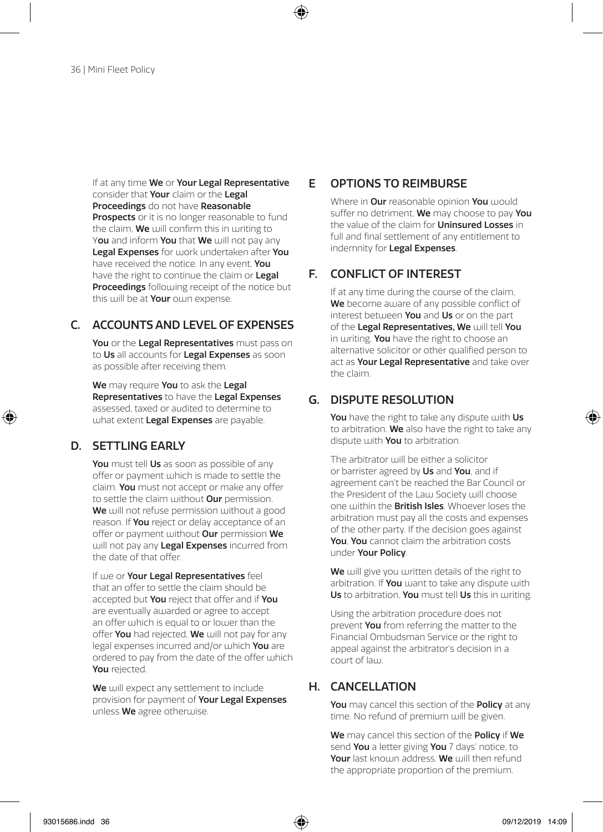If at any time We or Your Legal Representative consider that **Your** claim or the **Legal** Proceedings do not have Reasonable Prospects or it is no longer reasonable to fund the claim. We will confirm this in writing to You and inform You that We will not pay any Legal Expenses for work undertaken after You have received the notice. In any event, You have the right to continue the claim or Legal Proceedings following receipt of the notice but this will be at **Your** own expense.

### C. ACCOUNTS AND LEVEL OF EXPENSES

You or the Legal Representatives must pass on to Us all accounts for Legal Expenses as soon as possible after receiving them.

We may require You to ask the Legal Representatives to have the Legal Expenses assessed, taxed or audited to determine to what extent Legal Expenses are payable.

### D. SETTLING EARLY

You must tell Us as soon as possible of any offer or payment which is made to settle the claim. You must not accept or make any offer to settle the claim without **Our** permission. We will not refuse permission without a good reason. If **You** reject or delay acceptance of an offer or payment without Our permission We will not pay any Legal Expenses incurred from the date of that offer.

If we or **Your Legal Representatives** feel that an offer to settle the claim should be accepted but You reject that offer and if You are eventually awarded or agree to accept an offer which is equal to or lower than the offer You had rejected. We will not pay for any legal expenses incurred and/or which You are ordered to pay from the date of the offer which You rejected.

We will expect any settlement to include provision for payment of Your Legal Expenses unless We agree otherwise.

### E OPTIONS TO REIMBURSE

Where in **Our** reasonable opinion **You** would suffer no detriment, We may choose to pay You the value of the claim for **Uninsured Losses** in full and final settlement of any entitlement to indemnity for Legal Expenses.

### F. CONFLICT OF INTEREST

If at any time during the course of the claim, We become aware of any possible conflict of interest between You and Us or on the part of the Legal Representatives. We will tell You in writing. You have the right to choose an alternative solicitor or other qualified person to act as Your Legal Representative and take over the claim.

### G. DISPUTE RESOLUTION

You have the right to take any dispute with Us to arbitration. We also have the right to take any dispute with You to arbitration.

The arbitrator will be either a solicitor or barrister agreed by Us and You, and if agreement can't be reached the Bar Council or the President of the Law Society will choose one within the **British Isles**. Whoever loses the arbitration must pay all the costs and expenses of the other party. If the decision goes against You. You cannot claim the arbitration costs under Your Policy.

We will give you written details of the right to arbitration. If You want to take any dispute with Us to arbitration, You must tell Us this in writing.

Using the arbitration procedure does not prevent You from referring the matter to the Financial Ombudsman Service or the right to appeal against the arbitrator's decision in a court of law.

### H. CANCELLATION

You may cancel this section of the Policy at any time. No refund of premium will be given.

We may cancel this section of the **Policy** if We send You a letter giving You 7 days' notice, to Your last known address. We will then refund the appropriate proportion of the premium.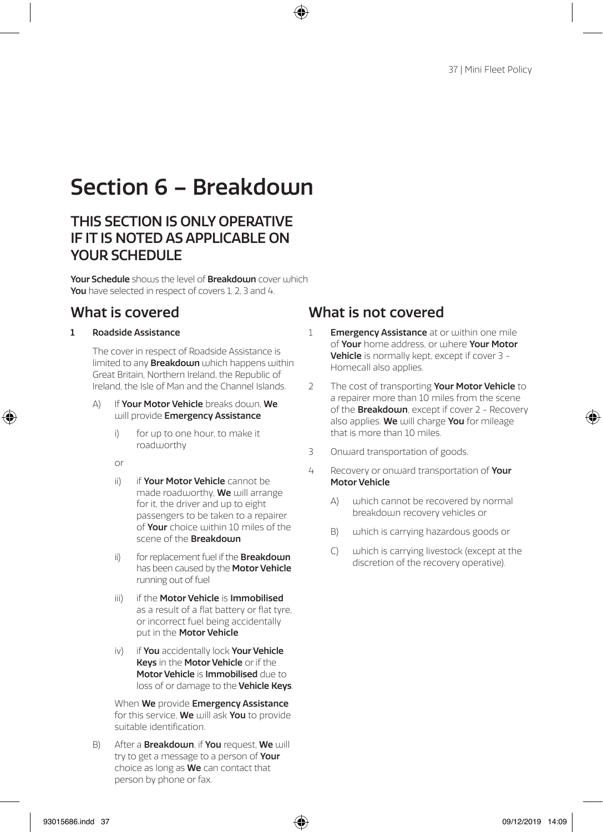# Section 6 – Breakdouin

## THIS SECTION IS ONLY OPERATIVE IF IT IS NOTED AS APPLICABLE ON YOUR SCHEDULE

Your Schedule shows the level of Breakdown cover which You have selected in respect of covers 1, 2, 3 and 4.

### 1 Roadside Assistance

The cover in respect of Roadside Assistance is limited to any **Breakdown** which happens within Great Britain, Northern Ireland, the Republic of Ireland, the Isle of Man and the Channel Islands.

- A) If Your Motor Vehicle breaks down, We will provide Emergency Assistance
	- i) for up to one hour, to make it roadworthy
	- or
	- ii) if Your Motor Vehicle cannot be made roadworthy, We will arrange for it, the driver and up to eight passengers to be taken to a repairer of Your choice within 10 miles of the scene of the **Breakdown**
	- ii) for replacement fuel if the **Breakdown** has been caused by the **Motor Vehicle** running out of fuel
	- iii) if the Motor Vehicle is Immobilised as a result of a flat battery or flat tyre, or incorrect fuel being accidentally put in the **Motor Vehicle**
	- iv) if You accidentally lock Your Vehicle Keys in the Motor Vehicle or if the Motor Vehicle is Immobilised due to loss of or damage to the Vehicle Keys.

When We provide Emergency Assistance for this service. We will ask You to provide suitable identification.

 $B)$  After a **Breakdown**, if **You** request, **We** will try to get a message to a person of Your choice as long as **We** can contact that person by phone or fax.

- 1 **Emergency Assistance** at or within one mile of Your home address, or where Your Motor Vehicle is normally kept, except if cover 3 - Homecall also applies.
- 2 The cost of transporting Your Motor Vehicle to a repairer more than 10 miles from the scene of the **Breakdown**, except if cover 2 - Recovery also applies. We will charge You for mileage that is more than 10 miles.
- 3 Onward transportation of goods.
- 4 Recovery or onward transportation of Your Motor Vehicle
	- A) which cannot be recovered by normal breakdown recovery vehicles or
	- B) which is carrying hazardous goods or
	- C) which is carrying livestock (except at the discretion of the recovery operative).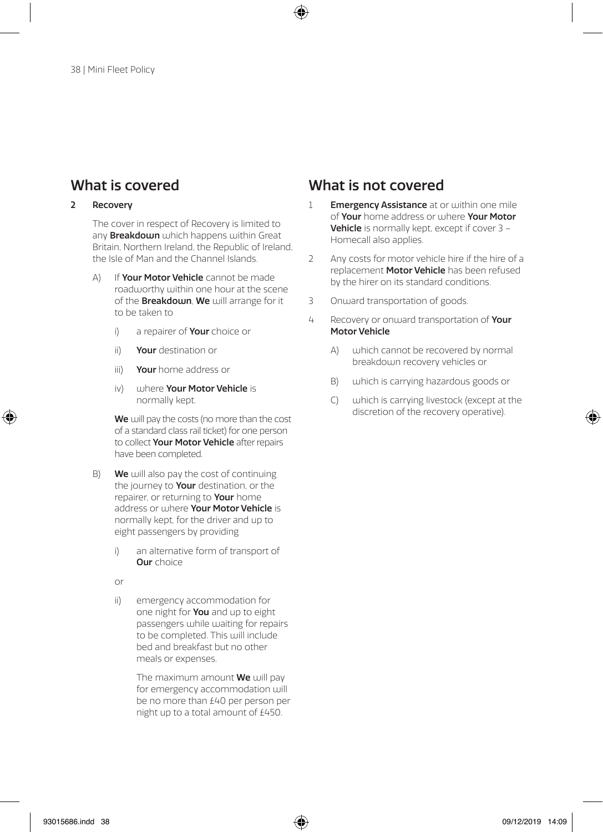### 2 Recovery

The cover in respect of Recovery is limited to any **Breakdown** which happens within Great Britain, Northern Ireland, the Republic of Ireland, the Isle of Man and the Channel Islands.

- A) If Your Motor Vehicle cannot be made roadworthy within one hour at the scene of the Breakdown, We will arrange for it to be taken to
	- i) a repairer of **Your** choice or
	- ii) Your destination or
	- iii) **Vour** home address or
	- iv) where Your Motor Vehicle is normally kept.

We will pay the costs (no more than the cost of a standard class rail ticket) for one person to collect Your Motor Vehicle after repairs have been completed.

- $B$ ) We will also pay the cost of continuing the journey to **Your** destination, or the repairer, or returning to **Your** home address or where Your Motor Vehicle is normally kept, for the driver and up to eight passengers by providing
	- i) an alternative form of transport of **Our** choice
	- or
	- ii) emergency accommodation for one night for You and up to eight passengers while waiting for repairs to be completed. This will include bed and breakfast but no other meals or expenses.

The maximum amount **We** will pay for emergency accommodation will be no more than £40 per person per night up to a total amount of £450.

- 1 **Emergency Assistance** at or within one mile of Your home address or where Your Motor Vehicle is normally kept, except if cover 3 -Homecall also applies.
- 2 Any costs for motor vehicle hire if the hire of a replacement Motor Vehicle has been refused by the hirer on its standard conditions.
- 3 Onward transportation of goods.
- 4 Recovery or onward transportation of Your Motor Vehicle
	- A) uphich cannot be recovered by normal breakdown recovery vehicles or
	- B) which is carrying hazardous goods or
	- C) which is carrying livestock (except at the discretion of the recovery operative).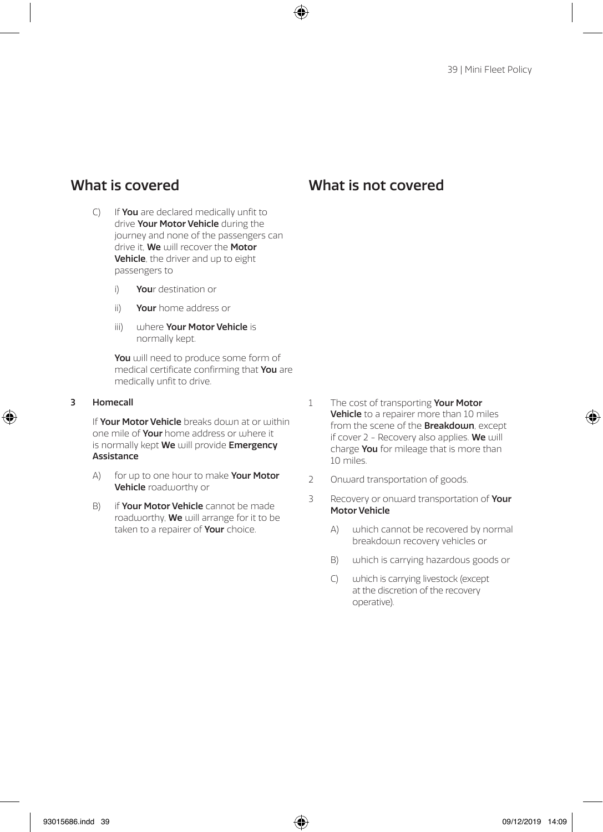- C) If **You** are declared medically unfit to drive Your Motor Vehicle during the journey and none of the passengers can drive it, We will recover the Motor Vehicle, the driver and up to eight passengers to
	- i) Your destination or
	- ii) Your home address or
	- iii) where Your Motor Vehicle is normally kept.

You will need to produce some form of medical certificate confirming that You are medically unfit to drive.

### 3 Homecall

If Your Motor Vehicle breaks down at or within one mile of **Your** home address or where it is normally kept We will provide Emergency **Assistance** 

- A) for up to one hour to make **Your Motor** Vehicle roadworthy or
- B) if **Your Motor Vehicle** cannot be made roadworthy, **We** will arrange for it to be taken to a repairer of Your choice.
- 1 The cost of transporting Your Motor Vehicle to a repairer more than 10 miles from the scene of the **Breakdown**, except if cover  $2$  - Recovery also applies. We will charge You for mileage that is more than 10 miles.
- 2 Onward transportation of goods.
- 3 Recovery or onward transportation of Your Motor Vehicle
	- A) which cannot be recovered by normal breakdown recovery vehicles or
	- B) which is carrying hazardous goods or
	- C) which is carrying livestock (except at the discretion of the recovery operative).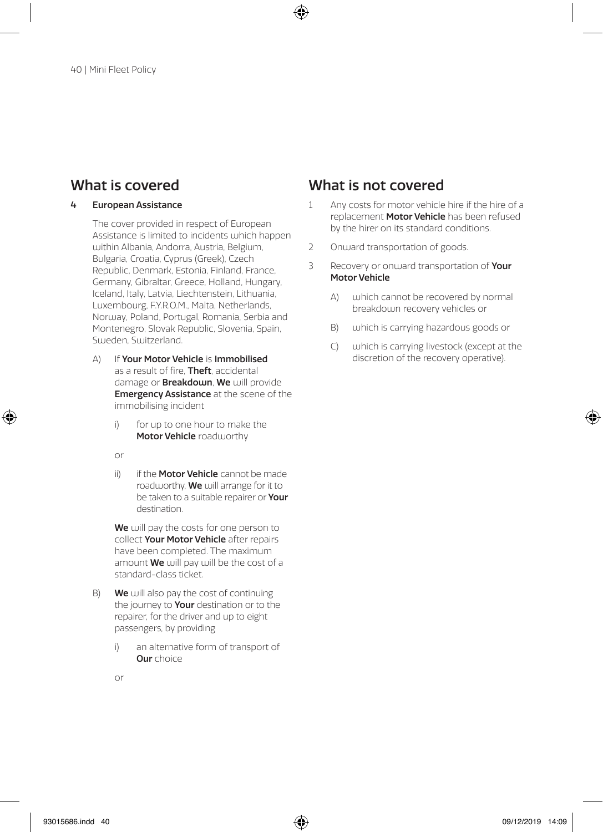### 4 European Assistance

The cover provided in respect of European Assistance is limited to incidents which happen within Albania, Andorra, Austria, Belgium, Bulgaria, Croatia, Cyprus (Greek), Czech Republic, Denmark, Estonia, Finland, France, Germany, Gibraltar, Greece, Holland, Hungary, Iceland, Italy, Latvia, Liechtenstein, Lithuania, Luxembourg, F.Y.R.O.M., Malta, Netherlands, Norway, Poland, Portugal, Romania, Serbia and Montenegro, Slovak Republic, Slovenia, Spain, Sweden, Switzerland.

- A) If Your Motor Vehicle is Immobilised as a result of fire. Theft, accidental damage or **Breakdown**, We will provide Emergency Assistance at the scene of the immobilising incident
	- i) for up to one hour to make the Motor Vehicle roadworthy
	- or
	- ii) if the **Motor Vehicle** cannot be made roadworthy, **We** will arrange for it to be taken to a suitable repairer or Your destination.

We will pay the costs for one person to collect Your Motor Vehicle after repairs have been completed. The maximum amount **We** will pay will be the cost of a standard-class ticket.

- B) We will also pay the cost of continuing the journey to Your destination or to the repairer, for the driver and up to eight passengers, by providing
	- i) an alternative form of transport of Our choice

- 1 Any costs for motor vehicle hire if the hire of a replacement Motor Vehicle has been refused by the hirer on its standard conditions.
- 2 Onward transportation of goods.
- 3 Recovery or onward transportation of Your Motor Vehicle
	- A) which cannot be recovered by normal breakdown recovery vehicles or
	- B) which is carrying hazardous goods or
	- C) which is carrying livestock (except at the discretion of the recovery operative).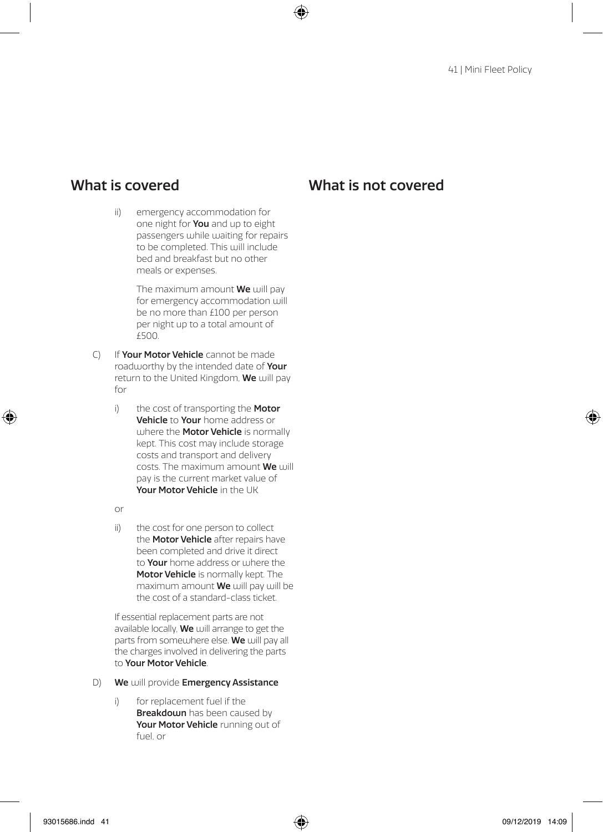ii) emergency accommodation for one night for You and up to eight passengers while waiting for repairs to be completed. This will include bed and breakfast but no other meals or expenses.

> The maximum amount We will pay for emergency accommodation will be no more than £100 per person per night up to a total amount of  $f500$

- C) If Your Motor Vehicle cannot be made roadworthy by the intended date of **Your** return to the United Kingdom, We will pay for
	- i) the cost of transporting the Motor Vehicle to Your home address or where the **Motor Vehicle** is normally kept. This cost may include storage costs and transport and delivery costs. The maximum amount We will pay is the current market value of Your Motor Vehicle in the UK

or

ii) the cost for one person to collect the **Motor Vehicle** after repairs have been completed and drive it direct to **Your** home address or where the Motor Vehicle is normally kept. The maximum amount **We** will pay will be the cost of a standard-class ticket.

If essential replacement parts are not available locally, **We** will arrange to get the parts from somewhere else. We will pay all the charges involved in delivering the parts to Your Motor Vehicle.

- D) We will provide Emergency Assistance
	- i) for replacement fuel if the **Breakdown** has been caused by Your Motor Vehicle running out of fuel, or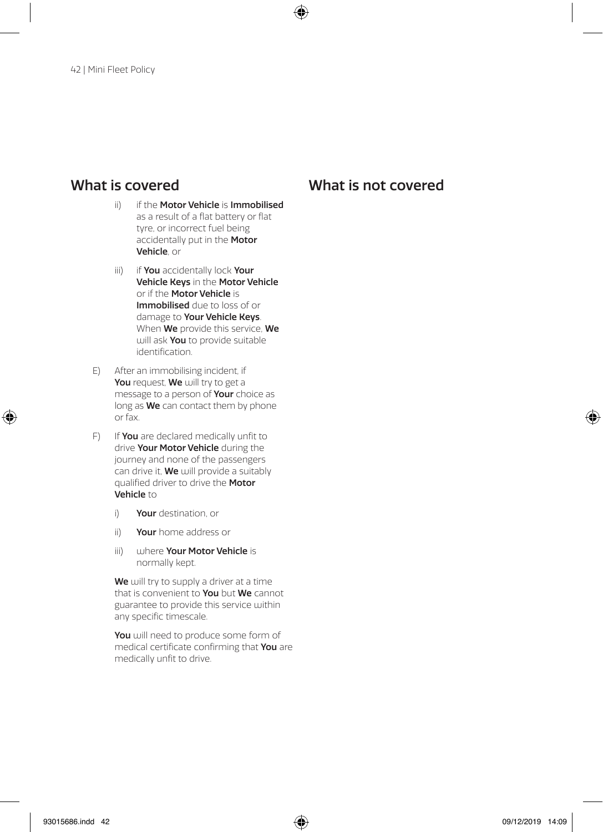### ii) if the Motor Vehicle is Immobilised as a result of a flat battery or flat tyre, or incorrect fuel being accidentally put in the Motor Vehicle, or

- iii) if You accidentally lock Your Vehicle Keys in the Motor Vehicle or if the Motor Vehicle is Immobilised due to loss of or damage to Your Vehicle Keys. When We provide this service, We will ask **You** to provide suitable identification.
- E) After an immobilising incident, if You request, We will try to get a message to a person of Your choice as long as **We** can contact them by phone or fax.
- F) If **You** are declared medically unfit to drive Your Motor Vehicle during the journey and none of the passengers can drive it. We will provide a suitably qualified driver to drive the Motor Vehicle to
	- i) Your destination, or
	- ii) Your home address or
	- iii) where Your Motor Vehicle is normally kept.

We will try to supply a driver at a time that is convenient to **You** but **We** cannot guarantee to provide this service within any specific timescale.

You will need to produce some form of medical certificate confirming that You are medically unfit to drive.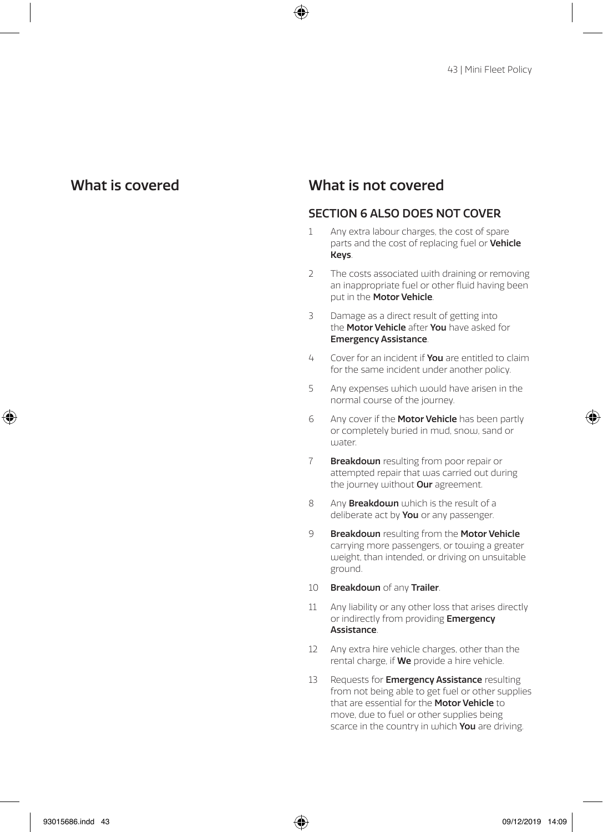## What is covered What is not covered

### SECTION 6 ALSO DOES NOT COVER

- 1 Any extra labour charges, the cost of spare parts and the cost of replacing fuel or Vehicle Keys.
- 2 The costs associated with draining or removing an inappropriate fuel or other fluid having been put in the **Motor Vehicle**.
- 3 Damage as a direct result of getting into the **Motor Vehicle** after **You** have asked for Emergency Assistance.
- 4 Cover for an incident if **You** are entitled to claim for the same incident under another policy.
- 5 Any expenses which would have arisen in the normal course of the journey.
- 6 Any cover if the **Motor Vehicle** has been partly or completely buried in mud, snow, sand or water.
- 7 **Breakdown** resulting from poor repair or attempted repair that was carried out during the journey without **Our** agreement.
- 8 Any **Breakdown** which is the result of a deliberate act by **You** or any passenger.
- 9 Breakdown resulting from the Motor Vehicle carrying more passengers, or towing a greater weight, than intended, or driving on unsuitable ground.
- 10 Breakdown of any Trailer.
- 11 Any liability or any other loss that arises directly or indirectly from providing Emergency Assistance.
- 12 Any extra hire vehicle charges, other than the rental charge, if **We** provide a hire vehicle.
- 13 Requests for **Emergency Assistance** resulting from not being able to get fuel or other supplies that are essential for the Motor Vehicle to move, due to fuel or other supplies being scarce in the country in which You are driving.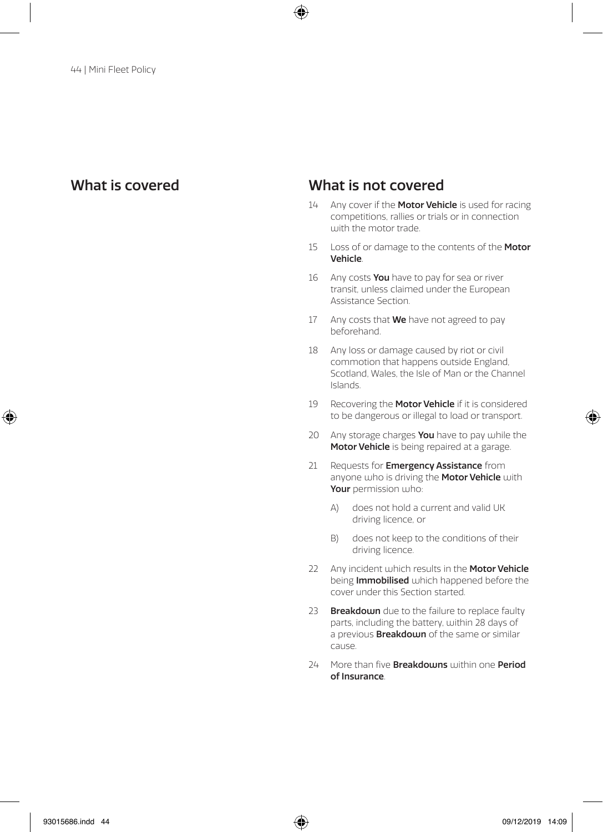- 14 Any cover if the Motor Vehicle is used for racing competitions, rallies or trials or in connection with the motor trade.
- 15 Loss of or damage to the contents of the Motor Vehicle.
- 16 Any costs You have to pay for sea or river transit, unless claimed under the European Assistance Section.
- 17 Any costs that  $We$  have not agreed to pay beforehand.
- 18 Any loss or damage caused by riot or civil commotion that happens outside England, Scotland, Wales, the Isle of Man or the Channel Islands.
- 19 Recovering the Motor Vehicle if it is considered to be dangerous or illegal to load or transport.
- 20 Any storage charges You have to pay while the Motor Vehicle is being repaired at a garage.
- 21 Requests for **Emergency Assistance** from anyone who is driving the Motor Vehicle with Your permission who:
	- A) does not hold a current and valid UK driving licence, or
	- B) does not keep to the conditions of their driving licence.
- 22 Any incident which results in the Motor Vehicle being Immobilised which happened before the cover under this Section started.
- 23 Breakdown due to the failure to replace faulty parts, including the battery, within 28 days of a previous **Breakdown** of the same or similar cause.
- 24 More than five **Breakdowns** within one **Period** of Insurance.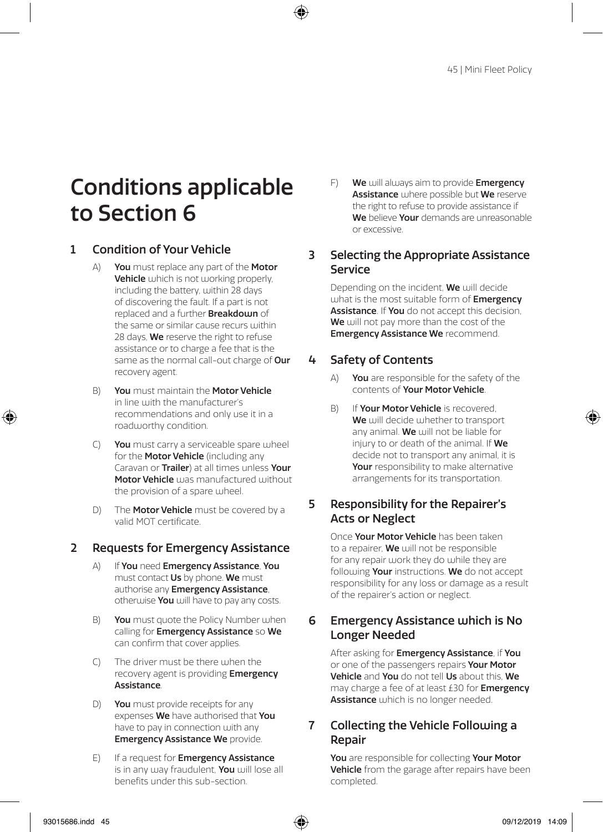# Conditions applicable to Section 6

### 1 Condition of Your Vehicle

- A) You must replace any part of the Motor Vehicle which is not working properly, including the battery, within 28 days of discovering the fault. If a part is not replaced and a further Breakdown of the same or similar cause recurs within 28 days. We reserve the right to refuse assistance or to charge a fee that is the same as the normal call-out charge of **Our** recovery agent.
- B) You must maintain the Motor Vehicle in line with the manufacturer's recommendations and only use it in a roadworthy condition.
- C) You must carry a serviceable spare wheel for the Motor Vehicle (including any Caravan or Trailer) at all times unless Your Motor Vehicle was manufactured without the provision of a spare wheel.
- D) The **Motor Vehicle** must be covered by a valid MOT certificate.

### 2 Requests for Emergency Assistance

- A) If You need Emergency Assistance, You must contact **Us** by phone. We must authorise any **Emergency Assistance**. otherwise You will have to pay any costs.
- B) You must quote the Policy Number when calling for Emergency Assistance so We can confirm that cover applies.
- C) The driver must be there when the recovery agent is providing **Emergency** Assistance.
- D) You must provide receipts for any expenses We have authorised that You have to pay in connection with any **Emergency Assistance We provide.**
- E) If a request for **Emergency Assistance** is in any way fraudulent, You will lose all benefits under this sub-section.

F) We will always aim to provide Emergency Assistance where possible but We reserve the right to refuse to provide assistance if We believe Your demands are unreasonable or excessive.

### 3 Selecting the Appropriate Assistance Service

Depending on the incident, We will decide what is the most suitable form of **Emergency** Assistance. If You do not accept this decision, We will not pay more than the cost of the Emergency Assistance We recommend.

### 4 Safety of Contents

- A) You are responsible for the safety of the contents of Your Motor Vehicle.
- B) If **Your Motor Vehicle** is recovered. We will decide whether to transport any animal. We will not be liable for injury to or death of the animal. If We decide not to transport any animal, it is Your responsibility to make alternative arrangements for its transportation.

### 5 Responsibility for the Repairer's Acts or Neglect

Once Your Motor Vehicle has been taken to a repairer, **We** will not be responsible for any repair work they do while they are following Your instructions. We do not accept responsibility for any loss or damage as a result of the repairer's action or neglect.

### 6 Emergency Assistance which is No Longer Needed

After asking for **Emergency Assistance**, if You or one of the passengers repairs **Your Motor** Vehicle and You do not tell Us about this, We may charge a fee of at least £30 for **Emergency** Assistance which is no longer needed.

### 7 Collecting the Vehicle Following a Repair

You are responsible for collecting Your Motor Vehicle from the garage after repairs have been completed.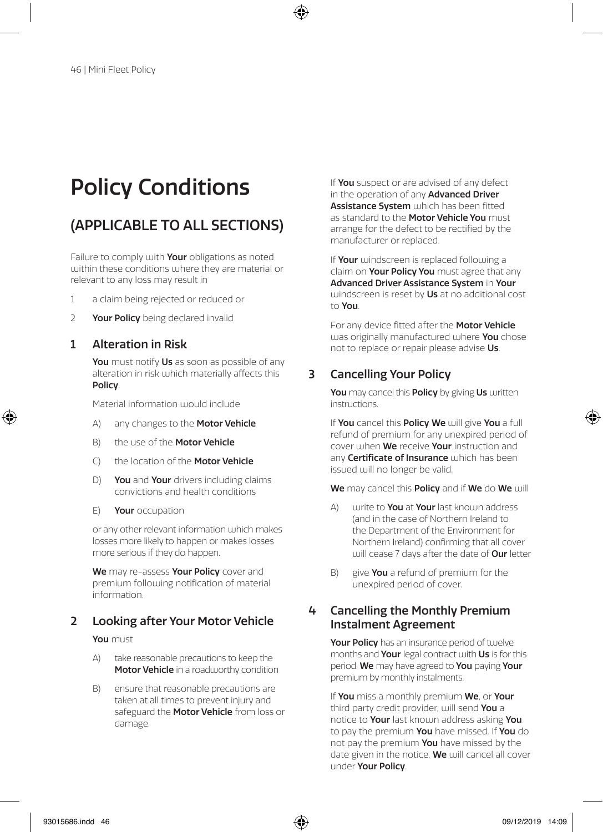# Policy Conditions

## (APPLICABLE TO ALL SECTIONS)

Failure to comply with **Your** obligations as noted within these conditions where they are material or relevant to any loss may result in

- 1 a claim being rejected or reduced or
- 2 Your Policy being declared invalid

### 1 Alteration in Risk

You must notify Us as soon as possible of any alteration in risk which materially affects this Policy.

Material information would include

- A) any changes to the **Motor Vehicle**
- B) the use of the **Motor Vehicle**
- C) the location of the Motor Vehicle
- D) You and Your drivers including claims convictions and health conditions
- E) Your occupation

or any other relevant information which makes losses more likely to happen or makes losses more serious if they do happen.

We may re-assess Your Policy cover and premium following notification of material information.

### 2 Looking after Your Motor Vehicle

You must

- A) take reasonable precautions to keep the Motor Vehicle in a roadworthy condition
- B) ensure that reasonable precautions are taken at all times to prevent injury and safeguard the **Motor Vehicle** from loss or damage.

If You suspect or are advised of any defect in the operation of any **Advanced Driver** Assistance System which has been fitted as standard to the **Motor Vehicle You** must arrange for the defect to be rectified by the manufacturer or replaced.

If Your windscreen is replaced following a claim on **Your Policy You** must agree that any Advanced Driver Assistance System in Your windscreen is reset by Us at no additional cost to You.

For any device fitted after the Motor Vehicle was originally manufactured where **You** chose not to replace or repair please advise Us.

### 3 Cancelling Your Policy

You may cancel this Policy by giving Us written instructions.

If You cancel this Policy We will give You a full refund of premium for any unexpired period of cover when We receive Your instruction and any **Certificate of Insurance** which has been issued will no longer be valid.

We may cancel this **Policy** and if We do We will

- $\Delta$ ) write to **You** at **Your** last known address (and in the case of Northern Ireland to the Department of the Environment for Northern Ireland) confirming that all cover will cease 7 days after the date of **Our** letter
- B) give **You** a refund of premium for the unexpired period of cover.

### 4 Cancelling the Monthly Premium Instalment Agreement

Your Policy has an insurance period of twelve months and Your legal contract with Us is for this period. We may have agreed to You paying Your premium by monthly instalments.

If You miss a monthly premium We, or Your third party credit provider, will send You a notice to Your last known address asking You to pay the premium You have missed. If You do not pay the premium You have missed by the date given in the notice, We will cancel all cover under Your Policy.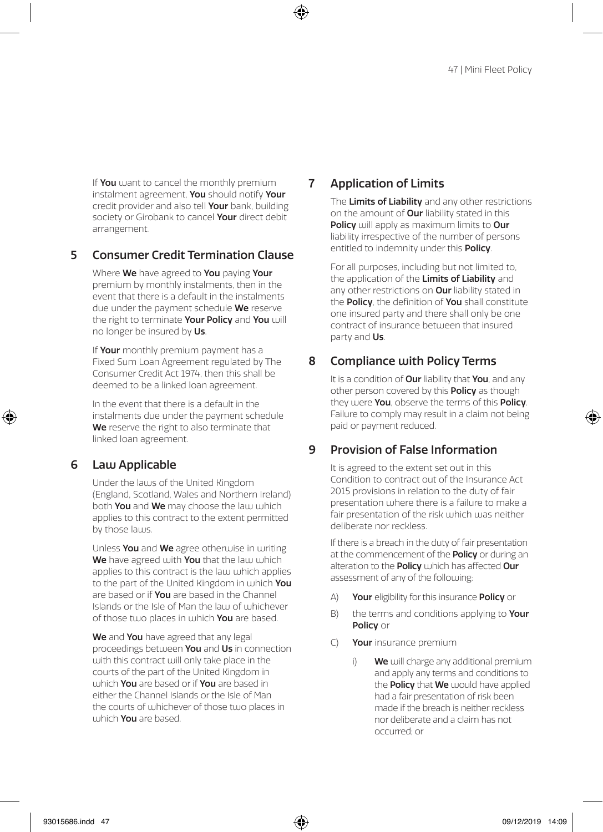If You want to cancel the monthly premium instalment agreement, You should notify Your credit provider and also tell Your bank, building society or Girobank to cancel **Your** direct debit arrangement.

### 5 Consumer Credit Termination Clause

Where We have agreed to You paying Your premium by monthly instalments, then in the event that there is a default in the instalments due under the payment schedule We reserve the right to terminate Your Policy and You will no longer be insured by Us.

If Your monthly premium payment has a Fixed Sum Loan Agreement regulated by The Consumer Credit Act 1974, then this shall be deemed to be a linked loan agreement.

In the event that there is a default in the instalments due under the payment schedule We reserve the right to also terminate that linked loan agreement.

### 6 Law Applicable

Under the laws of the United Kingdom (England, Scotland, Wales and Northern Ireland) both You and We may choose the law which applies to this contract to the extent permitted by those laws.

Unless You and We agree otherwise in writing We have agreed with You that the law which applies to this contract is the law which applies to the part of the United Kingdom in which You are based or if **You** are based in the Channel Islands or the Isle of Man the Jaw of whichever of those two places in which You are based.

We and You have agreed that any legal proceedings between You and Us in connection with this contract will only take place in the courts of the part of the United Kingdom in ujhich You are based or if You are based in either the Channel Islands or the Isle of Man the courts of whichever of those two places in uthich You are based.

### 7 Application of Limits

The Limits of Liability and any other restrictions on the amount of **Our** liability stated in this Policy will apply as maximum limits to Our liability irrespective of the number of persons entitled to indemnity under this **Policy**.

For all purposes, including but not limited to, the application of the Limits of Liability and any other restrictions on Our liability stated in the Policy, the definition of You shall constitute one insured party and there shall only be one contract of insurance between that insured party and Us.

### 8 Compliance with Policy Terms

It is a condition of **Our** liability that **You**, and any other person covered by this **Policy** as though they were You, observe the terms of this Policy. Failure to comply may result in a claim not being paid or payment reduced.

### 9 Provision of False Information

It is agreed to the extent set out in this Condition to contract out of the Insurance Act 2015 provisions in relation to the duty of fair presentation where there is a failure to make a fair presentation of the risk which was neither deliberate nor reckless.

If there is a breach in the duty of fair presentation at the commencement of the **Policy** or during an alteration to the **Policy** which has affected **Our** assessment of any of the following:

- A) Your eligibility for this insurance Policy or
- B) the terms and conditions applying to Your Policy or
- C) Your insurance premium
	- i) We will charge any additional premium and apply any terms and conditions to the **Policy** that **We** would have applied had a fair presentation of risk been made if the breach is neither reckless nor deliberate and a claim has not occurred; or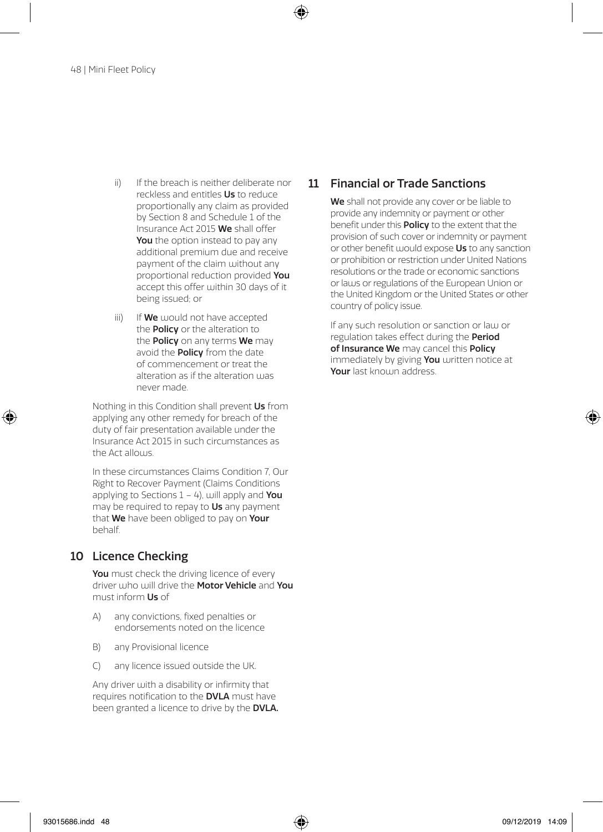- ii) If the breach is neither deliberate nor reckless and entitles Us to reduce proportionally any claim as provided by Section 8 and Schedule 1 of the Insurance Act 2015 We shall offer You the option instead to pay any additional premium due and receive payment of the claim without any proportional reduction provided You accept this offer within 30 days of it being issued; or
- iii) If **We** would not have accepted the **Policy** or the alteration to the **Policy** on any terms We may avoid the **Policy** from the date of commencement or treat the alteration as if the alteration was never made.

Nothing in this Condition shall prevent Us from applying any other remedy for breach of the duty of fair presentation available under the Insurance Act 2015 in such circumstances as the Act allows.

In these circumstances Claims Condition 7, Our Right to Recover Payment (Claims Conditions applying to Sections  $1 - 4$ ), will apply and You may be required to repay to Us any payment that We have been obliged to pay on Your behalf.

### 10 Licence Checking

You must check the driving licence of every driver who will drive the Motor Vehicle and You must inform Us of

- A) any convictions, fixed penalties or endorsements noted on the licence
- B) any Provisional licence
- C) any licence issued outside the UK.

Any driver with a disability or infirmity that requires notification to the DVLA must have been granted a licence to drive by the **DVLA.** 

### 11 Financial or Trade Sanctions

We shall not provide any cover or be liable to provide any indemnity or payment or other benefit under this **Policy** to the extent that the provision of such cover or indemnity or payment or other benefit would expose Us to any sanction or prohibition or restriction under United Nations resolutions or the trade or economic sanctions or laws or regulations of the European Union or the United Kingdom or the United States or other country of policy issue.

If any such resolution or sanction or law or regulation takes effect during the **Period** of Insurance We may cancel this Policy immediately by giving You written notice at Your last known address.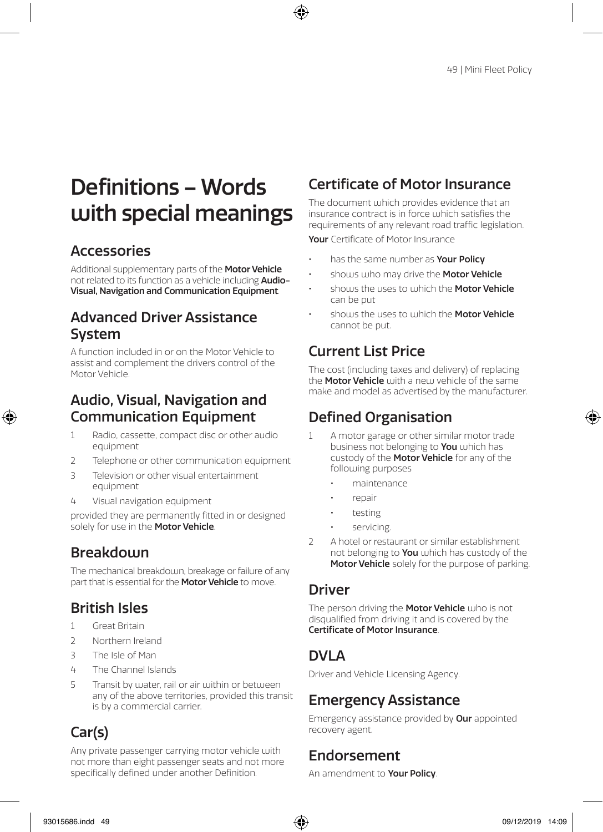# Definitions – Words with special meanings

## Accessories

Additional supplementary parts of the Motor Vehicle not related to its function as a vehicle including Audio-Visual, Navigation and Communication Equipment.

## Advanced Driver Assistance System

A function included in or on the Motor Vehicle to assist and complement the drivers control of the Motor Vehicle.

## Audio, Visual, Navigation and Communication Equipment

- Radio, cassette, compact disc or other audio equipment
- 2 Telephone or other communication equipment
- 3 Television or other visual entertainment equipment
- 4 Visual navigation equipment

provided they are permanently fitted in or designed solely for use in the **Motor Vehicle**.

## **Breakdown**

The mechanical breakdown, breakage or failure of any part that is essential for the **Motor Vehicle** to move.

## British Isles

- 1 Great Britain
- 2 Northern Ireland
- 3 The Isle of Man
- 4 The Channel Islands
- 5 Transit by water, rail or air within or between any of the above territories, provided this transit is by a commercial carrier.

## Car(s)

Any private passenger carrying motor vehicle with not more than eight passenger seats and not more specifically defined under another Definition.

## Certificate of Motor Insurance

The document which provides evidence that an insurance contract is in force which satisfies the requirements of any relevant road traffic legislation.

Your Certificate of Motor Insurance

- has the same number as **Your Policy**
- shows who may drive the **Motor Vehicle**
- shours the uses to which the **Motor Vehicle** can be put
- shows the uses to which the Motor Vehicle cannot be put.

## Current List Price

The cost (including taxes and delivery) of replacing the **Motor Vehicle** with a new vehicle of the same make and model as advertised by the manufacturer.

## Defined Organisation

- 1 A motor garage or other similar motor trade business not belonging to You which has custody of the **Motor Vehicle** for any of the following purposes
	- maintenance
	- repair
	- testing
	- servicing.
- 2 A hotel or restaurant or similar establishment not belonging to **You** which has custody of the Motor Vehicle solely for the purpose of parking.

## Driver

The person driving the Motor Vehicle who is not disqualified from driving it and is covered by the Certificate of Motor Insurance.

## DVI A

Driver and Vehicle Licensing Agency.

## Emergency Assistance

Emergency assistance provided by Our appointed recovery agent.

## Endorsement

An amendment to Your Policy.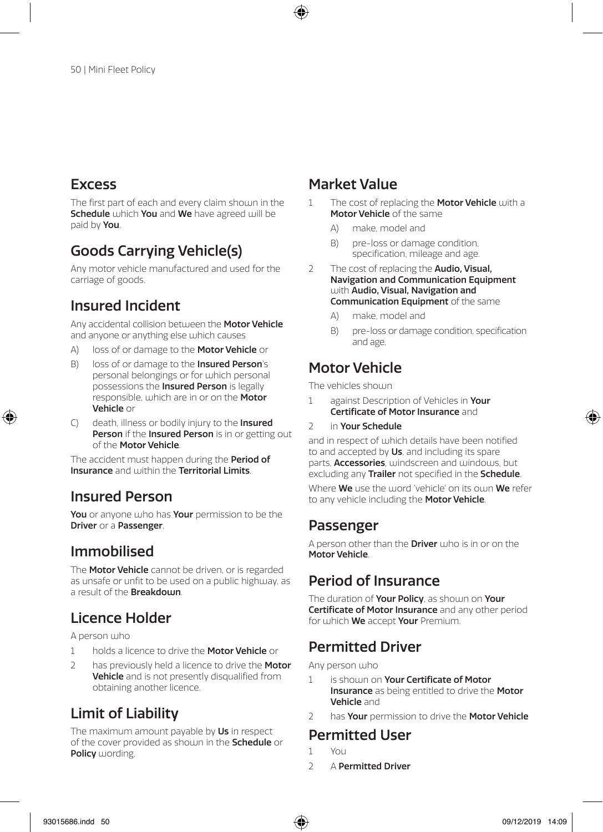## **Excess**

The first part of each and every claim shoun in the Schedule which You and We have agreed will be paid by You.

## Goods Carrying Vehicle(s)

Any motor vehicle manufactured and used for the carriage of goods.

## Insured Incident

Any accidental collision between the Motor Vehicle and anyone or anything else which causes

- A) loss of or damage to the **Motor Vehicle** or
- B) loss of or damage to the **Insured Person**'s personal belongings or for which personal possessions the Insured Person is legally responsible, which are in or on the Motor Vehicle or
- C) death, illness or bodily injury to the Insured Person if the Insured Person is in or getting out of the Motor Vehicle.

The accident must happen during the **Period of** Insurance and within the Territorial Limits.

## Insured Person

You or anyone who has Your permission to be the **Driver or a Passenger.** 

## Immobilised

The **Motor Vehicle** cannot be driven, or is regarded as unsafe or unfit to be used on a public highway, as a result of the **Breakdown** 

## Licence Holder

A person who

- 1 holds a licence to drive the **Motor Vehicle** or
- 2 has previously held a licence to drive the Motor Vehicle and is not presently disqualified from obtaining another licence.

## Limit of Liability

The maximum amount payable by Us in respect of the cover provided as shouln in the **Schedule** or Policy wording.

## Market Value

- 1 The cost of replacing the **Motor Vehicle** with a Motor Vehicle of the same
	- A) make, model and
	- B) pre-loss or damage condition, specification, mileage and age.
- 2 The cost of replacing the **Audio, Visual**, Navigation and Communication Equipment with Audio, Visual, Navigation and Communication Equipment of the same
	- A) make, model and
	- B) pre-loss or damage condition, specification and age.

## Motor Vehicle

The vehicles shown

- 1 against Description of Vehicles in Your Certificate of Motor Insurance and
- 2 in Your Schedule

and in respect of which details have been notified to and accepted by Us, and including its spare parts. **Accessories**, windscreen and windows, but excluding any **Trailer** not specified in the **Schedule**.

Where **We** use the word 'vehicle' on its own **We** refer to any vehicle including the Motor Vehicle.

## Passenger

A person other than the **Driver** who is in or on the Motor Vehicle.

## Period of Insurance

The duration of Your Policy, as shown on Your Certificate of Motor Insurance and any other period for which We accept Your Premium.

## Permitted Driver

Any person who

- 1 is shoum on Your Certificate of Motor **Insurance** as being entitled to drive the **Motor** Vehicle and
- 2 has Your permission to drive the Motor Vehicle

### Permitted User

- 1 You
- 2 A Permitted Driver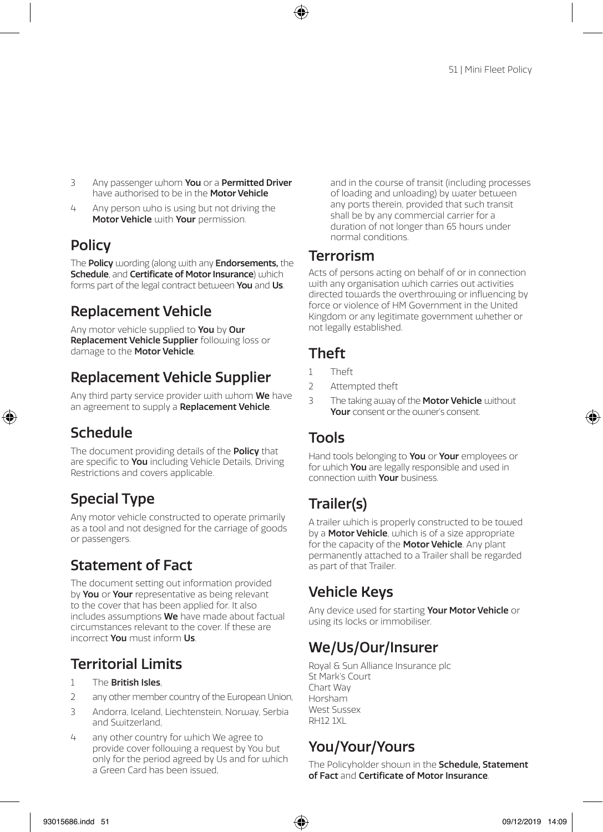- 3 Any passenger whom You or a Permitted Driver have authorised to be in the **Motor Vehicle**
- 4 Any person who is using but not driving the Motor Vehicle with Your permission.

## **Policy**

The **Policy** wording (along with any **Endorsements**, the Schedule, and Certificate of Motor Insurance) which forms part of the legal contract between You and Us.

## Replacement Vehicle

Any motor vehicle supplied to You by Our Replacement Vehicle Supplier following loss or damage to the Motor Vehicle.

## Replacement Vehicle Supplier

Any third party service provider with whom **We** have an agreement to supply a Replacement Vehicle.

## Schedule

The document providing details of the Policy that are specific to You including Vehicle Details, Driving Restrictions and covers applicable.

## Special Type

Any motor vehicle constructed to operate primarily as a tool and not designed for the carriage of goods or passengers.

## Statement of Fact

The document setting out information provided by You or Your representative as being relevant to the cover that has been applied for. It also includes assumptions We have made about factual circumstances relevant to the cover. If these are incorrect You must inform Us.

## Territorial Limits

- 1 The **British Isles**.
- 2 any other member country of the European Union,
- 3 Andorra, Iceland, Liechtenstein, Norway, Serbia and Switzerland
- 4 any other country for which We agree to provide cover following a request by You but only for the period agreed by Us and for which a Green Card has been issued,

and in the course of transit (including processes of loading and unloading) by water between any ports therein, provided that such transit shall be by any commercial carrier for a duration of not longer than 65 hours under normal conditions.

## Terrorism

Acts of persons acting on behalf of or in connection with any organisation which carries out activities directed towards the overthrowing or influencing by force or violence of HM Government in the United Kingdom or any legitimate government whether or not legally established.

## Theft

- 1 Theft
- 2 Attempted theft
- 3 The taking away of the Motor Vehicle without Your consent or the ou iner's consent.

## Tools

Hand tools belonging to You or Your employees or for which **You** are legally responsible and used in connection with **Your** business.

## Trailer(s)

A trailer which is properly constructed to be towed by a **Motor Vehicle**, which is of a size appropriate for the capacity of the Motor Vehicle. Any plant permanently attached to a Trailer shall be regarded as part of that Trailer.

## Vehicle Keys

Any device used for starting Your Motor Vehicle or using its locks or immobiliser.

## We/Us/Our/Insurer

Royal & Sun Alliance Insurance plc St Mark's Court Chart Way Horsham West Sussex **RH12 1XL** 

## You/Your/Yours

The Policyholder shown in the **Schedule, Statement** of Fact and Certificate of Motor Insurance.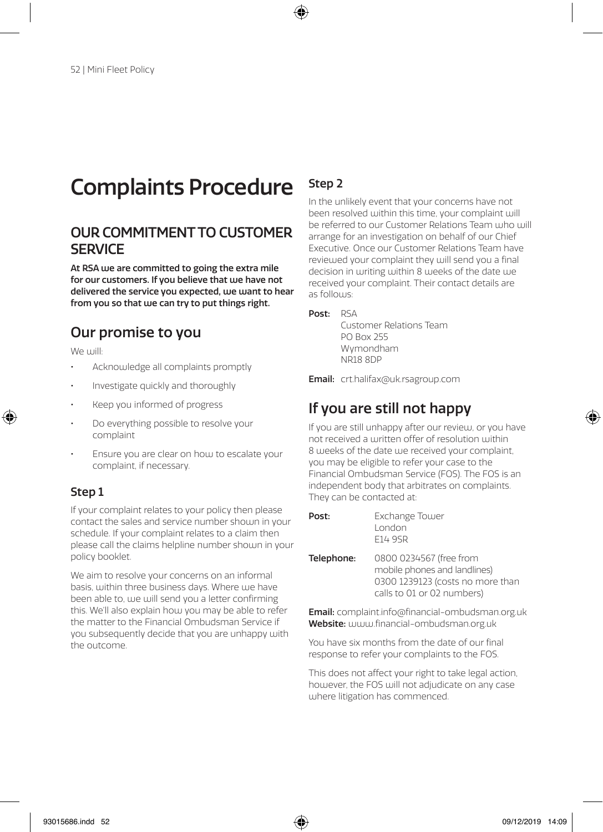# Complaints Procedure

## OUR COMMITMENT TO CUSTOMER **SERVICE**

At RSA we are committed to going the extra mile for our customers. If you believe that we have not delivered the service you expected, we want to hear from you so that we can try to put things right.

## Our promise to you

We will:

- Acknowledge all complaints promptly
- Investigate quickly and thoroughly
- Keep you informed of progress
- Do everything possible to resolve your complaint
- Ensure you are clear on how to escalate your complaint, if necessary.

### Step 1

If your complaint relates to your policy then please contact the sales and service number shown in your schedule. If your complaint relates to a claim then please call the claims helpline number shown in your policy booklet.

We aim to resolve your concerns on an informal basis, within three business days. Where we have been able to, we will send you a letter confirming this. We'll also explain how you may be able to refer the matter to the Financial Ombudsman Service if you subsequently decide that you are unhappy with the outcome.

## Step 2

In the unlikely event that your concerns have not been resolved within this time, your complaint will be referred to our Customer Relations Team who will arrange for an investigation on behalf of our Chief Executive. Once our Customer Relations Team have reviewed your complaint they will send you a final decision in writing within 8 weeks of the date we received your complaint. Their contact details are as follows:

### Post: RSA

Customer Relations Team PO Box 255 Wymondham NR18 8DP

Email: crt.halifax@uk.rsagroup.com

## If you are still not happy

If you are still unhappy after our review, or you have not received a written offer of resolution within 8 weeks of the date we received your complaint you may be eligible to refer your case to the Financial Ombudsman Service (FOS). The FOS is an independent body that arbitrates on complaints. They can be contacted at:

| Post:      | Exchange Tower<br>London<br>F14 9SR                                                                                       |
|------------|---------------------------------------------------------------------------------------------------------------------------|
| Telephone: | 0800 0234567 (free from<br>mobile phones and landlines)<br>0300 1239123 (costs no more than<br>calls to 01 or 02 numbers) |
|            |                                                                                                                           |

Email: complaint.info@financial-ombudsman.org.uk Website: www.financial-ombudsman.org.uk

You have six months from the date of our final response to refer your complaints to the FOS.

This does not affect your right to take legal action, however, the FOS will not adjudicate on any case where litigation has commenced.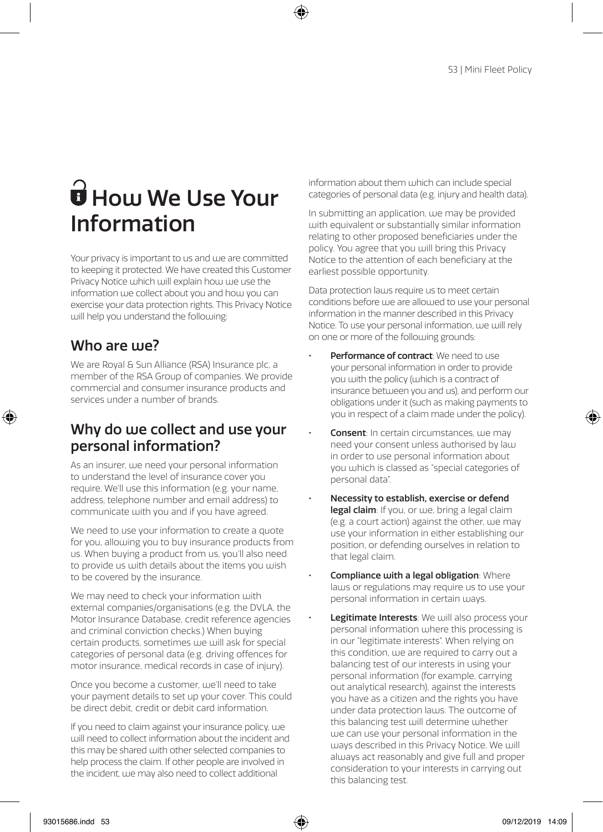# $\mathbf{\hat{\mathbf{\theta}}}$  How We Use Your Information

Your privacy is important to us and we are committed to keeping it protected. We have created this Customer Privacy Notice which will explain how we use the information we collect about you and how you can exercise your data protection rights. This Privacy Notice will help you understand the following:

## Who are use?

We are Royal & Sun Alliance (RSA) Insurance plc, a member of the RSA Group of companies. We provide commercial and consumer insurance products and services under a number of brands.

## Why do we collect and use your personal information?

As an insurer, we need your personal information to understand the level of insurance cover you require. We'll use this information (e.g. your name, address, telephone number and email address) to communicate with you and if you have agreed.

We need to use your information to create a quote for you, allowing you to buy insurance products from us. When buying a product from us, you'll also need to provide us with details about the items you wish to be covered by the insurance.

We may need to check your information with external companies/organisations (e.g. the DVLA, the Motor Insurance Database, credit reference agencies and criminal conviction checks.) When buying certain products, sometimes we will ask for special categories of personal data (e.g. driving offences for motor insurance, medical records in case of injury).

Once you become a customer, we'll need to take your payment details to set up your cover. This could be direct debit, credit or debit card information.

If you need to claim against your insurance policy, we will need to collect information about the incident and this may be shared with other selected companies to help process the claim. If other people are involved in the incident, we may also need to collect additional

information about them which can include special categories of personal data (e.g. injury and health data).

In submitting an application, we may be provided with equivalent or substantially similar information relating to other proposed beneficiaries under the policy. You agree that you will bring this Privacy Notice to the attention of each beneficiary at the earliest possible opportunity.

Data protection laws require us to meet certain conditions before we are allowed to use your personal information in the manner described in this Privacy Notice. To use your personal information, we will rely on one or more of the following grounds:

- Performance of contract: We need to use your personal information in order to provide you with the policy (which is a contract of insurance between you and us), and perform our obligations under it (such as making payments to you in respect of a claim made under the policy).
- Consent: In certain circumstances, we may need your consent unless authorised by law in order to use personal information about you which is classed as "special categories of personal data".
- Necessity to establish, exercise or defend legal claim: If you, or we, bring a legal claim (e.g. a court action) against the other, we may use your information in either establishing our position, or defending ourselves in relation to that legal claim.
- Compliance with a legal obligation: Where laws or regulations may require us to use your personal information in certain ways.
- Legitimate Interests: We will also process your personal information where this processing is in our "legitimate interests". When relying on this condition, we are required to carry out a balancing test of our interests in using your personal information (for example, carrying out analytical research), against the interests you have as a citizen and the rights you have under data protection laws. The outcome of this balancing test will determine whether we can use your personal information in the ways described in this Privacy Notice. We will always act reasonably and give full and proper consideration to your interests in carrying out this balancing test.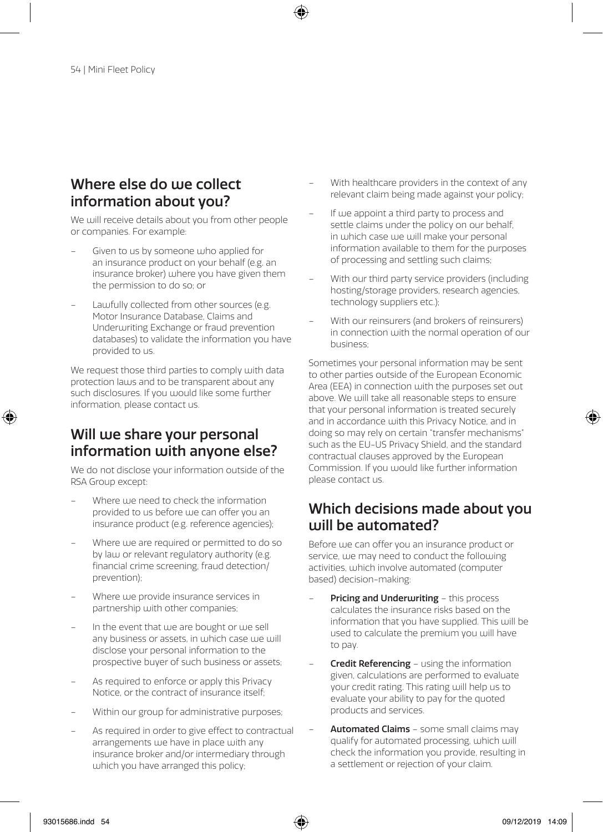## Where else do use collect information about you?

We will receive details about you from other people or companies. For example:

- Given to us by someone who applied for an insurance product on your behalf (e.g. an insurance broker) where you have given them the permission to do so; or
- Lawfully collected from other sources (e.g. Motor Insurance Database, Claims and Underwriting Exchange or fraud prevention databases) to validate the information you have provided to us.

We request those third parties to comply with data protection laws and to be transparent about any such disclosures. If you would like some further information, please contact us.

## Will we share your personal information with anyone else?

We do not disclose your information outside of the RSA Group except:

- Where we need to check the information provided to us before use can offer you an insurance product (e.g. reference agencies);
- Where we are required or permitted to do so by law or relevant regulatory authority (e.g. financial crime screening, fraud detection/ prevention);
- Where we provide insurance services in partnership with other companies;
- In the event that we are bought or we sell any business or assets, in which case we will disclose your personal information to the prospective buyer of such business or assets;
- As required to enforce or apply this Privacy Notice, or the contract of insurance itself;
- Within our group for administrative purposes;
- As required in order to give effect to contractual arrangements we have in place with any insurance broker and/or intermediary through which you have arranged this policy;
- With healthcare providers in the context of any relevant claim being made against your policy;
- If we appoint a third party to process and settle claims under the policy on our behalf, in which case we will make your personal information available to them for the purposes of processing and settling such claims;
- With our third party service providers (including hosting/storage providers, research agencies, technology suppliers etc.);
- With our reinsurers (and brokers of reinsurers) in connection with the normal operation of our business;

Sometimes your personal information may be sent to other parties outside of the European Economic Area (EEA) in connection with the purposes set out above. We will take all reasonable steps to ensure that your personal information is treated securely and in accordance with this Privacy Notice, and in doing so may rely on certain "transfer mechanisms" such as the EU-US Privacy Shield, and the standard contractual clauses approved by the European Commission. If you would like further information please contact us.

## Which decisions made about you will be automated?

Before we can offer you an insurance product or service, we may need to conduct the following activities, which involve automated (computer based) decision-making:

- **Pricing and Underwriting this process** calculates the insurance risks based on the information that you have supplied. This will be used to calculate the premium you will have to pay.
- **Credit Referencing using the information** given, calculations are performed to evaluate your credit rating. This rating will help us to evaluate your ability to pay for the quoted products and services.
- **Automated Claims some small claims may** qualify for automated processing, which will check the information you provide, resulting in a settlement or rejection of your claim.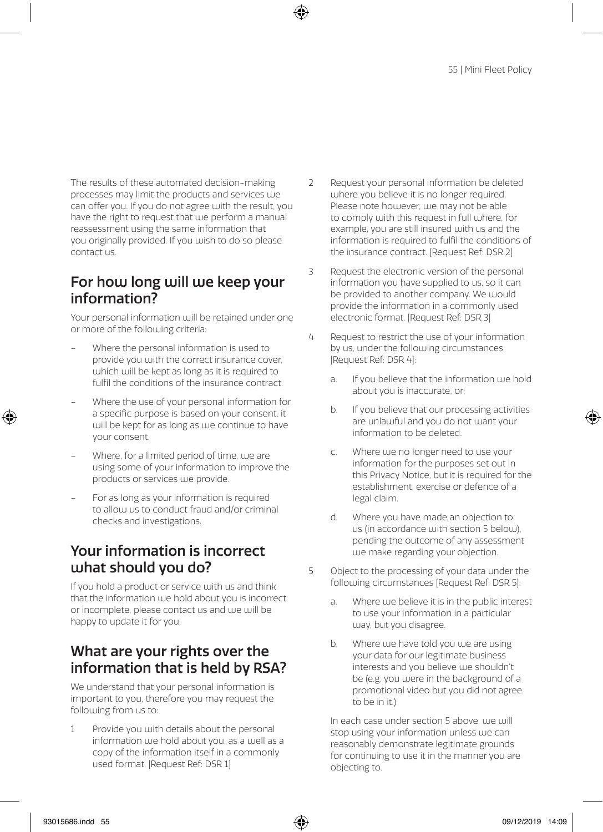The results of these automated decision-making processes may limit the products and services use can offer you. If you do not agree with the result, you have the right to request that we perform a manual reassessment using the same information that you originally provided. If you wish to do so please contact us.

## For how long will we keep your information?

Your personal information will be retained under one or more of the following criteria:

- Where the personal information is used to provide you with the correct insurance cover, which will be kept as long as it is required to fulfil the conditions of the insurance contract.
- Where the use of your personal information for a specific purpose is based on your consent, it will be kept for as long as we continue to have your consent.
- Where, for a limited period of time, we are using some of your information to improve the products or services we provide.
- For as long as your information is required to allow us to conduct fraud and/or criminal checks and investigations.

## Your information is incorrect what should you do?

If you hold a product or service with us and think that the information we hold about you is incorrect or incomplete, please contact us and we will be happy to update it for you.

## What are your rights over the information that is held by RSA?

We understand that your personal information is important to you, therefore you may request the following from us to:

1 Provide you with details about the personal information we hold about you, as a well as a copy of the information itself in a commonly used format. [Request Ref: DSR 1]

- 2 Request your personal information be deleted where you believe it is no longer required. Please note however, we may not be able to comply with this request in full where, for example, you are still insured with us and the information is required to fulfil the conditions of the insurance contract. [Request Ref: DSR 2]
- 3 Request the electronic version of the personal information you have supplied to us, so it can be provided to another company. We would provide the information in a commonly used electronic format. [Request Ref: DSR 3]
- 4 Request to restrict the use of your information by us, under the following circumstances [Request Ref: DSR 4]:
	- a. If you believe that the information we hold about you is inaccurate, or;
	- b. If you believe that our processing activities are unlawful and you do not want your information to be deleted.
	- c. Where we no longer need to use your information for the purposes set out in this Privacy Notice, but it is required for the establishment, exercise or defence of a legal claim.
	- d. Where you have made an objection to us (in accordance with section 5 below). pending the outcome of any assessment we make regarding your objection.
- 5 Object to the processing of your data under the following circumstances [Request Ref: DSR 5]:
	- a. Where we believe it is in the public interest to use your information in a particular way, but you disagree.
	- b. Where we have told you we are using your data for our legitimate business interests and you believe we shouldn't be (e.g. you were in the background of a promotional video but you did not agree to be in it.)

In each case under section 5 above, we will stop using your information unless we can reasonably demonstrate legitimate grounds for continuing to use it in the manner you are objecting to.